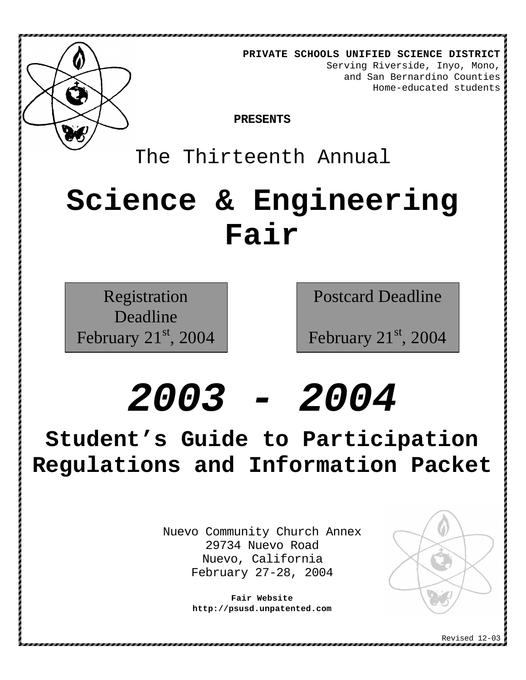

**PRIVATE SCHOOLS UNIFIED SCIENCE DISTRICT** Serving Riverside, Inyo, Mono, and San Bernardino Counties Home-educated students

**PRESENTS**

# The Thirteenth Annual

# **Science & Engineering Fair**

Registration Deadline February  $21<sup>st</sup>$ , 2004 Postcard Deadline

February  $21<sup>st</sup>$ , 2004

# *2003 - 2004*

**Student's Guide to Participation Regulations and Information Packet**

> Nuevo Community Church Annex 29734 Nuevo Road Nuevo, California February 27-28, 2004

> > **Fair Website http://psusd.unpatented.com**

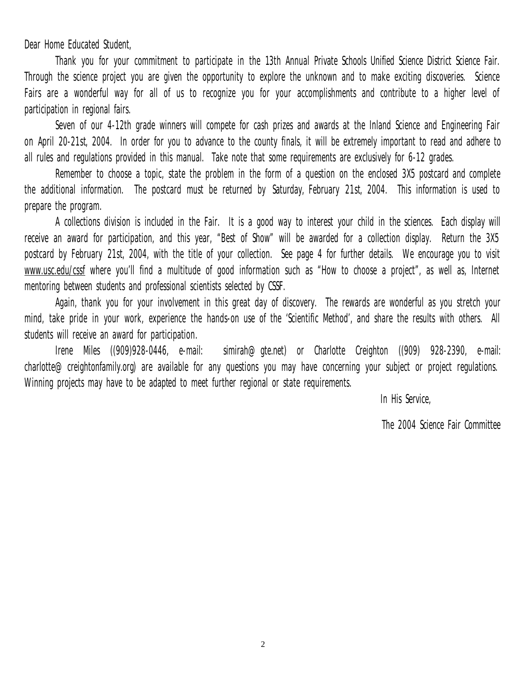Dear Home Educated Student,

Thank you for your commitment to participate in the 13th Annual Private Schools Unified Science District Science Fair. Through the science project you are given the opportunity to explore the unknown and to make exciting discoveries. Science Fairs are a wonderful way for all of us to recognize you for your accomplishments and contribute to a higher level of participation in regional fairs.

Seven of our 4-12th grade winners will compete for cash prizes and awards at the Inland Science and Engineering Fair on April 20-21st, 2004. In order for you to advance to the county finals, it will be extremely important to read and adhere to all rules and regulations provided in this manual. Take note that some requirements are exclusively for 6-12 grades.

Remember to choose a topic, state the problem in the form of a question on the enclosed 3X5 postcard and complete the additional information. The postcard must be returned by Saturday, February 21st, 2004. This information is used to prepare the program.

A collections division is included in the Fair. It is a good way to interest your child in the sciences. Each display will receive an award for participation, and this year, "Best of Show" will be awarded for a collection display. Return the 3X5 postcard by February 21st, 2004, with the title of your collection. See page 4 for further details. We encourage you to visit www.usc.edu/cssf where you'll find a multitude of good information such as "How to choose a project", as well as, Internet mentoring between students and professional scientists selected by CSSF.

Again, thank you for your involvement in this great day of discovery. The rewards are wonderful as you stretch your mind, take pride in your work, experience the hands-on use of the 'Scientific Method', and share the results with others. All students will receive an award for participation.

Irene Miles ((909)928-0446, e-mail: simirah@gte.net) or Charlotte Creighton ((909) 928-2390, e-mail: charlotte@creightonfamily.org) are available for any questions you may have concerning your subject or project regulations. Winning projects may have to be adapted to meet further regional or state requirements.

In His Service,

The 2004 Science Fair Committee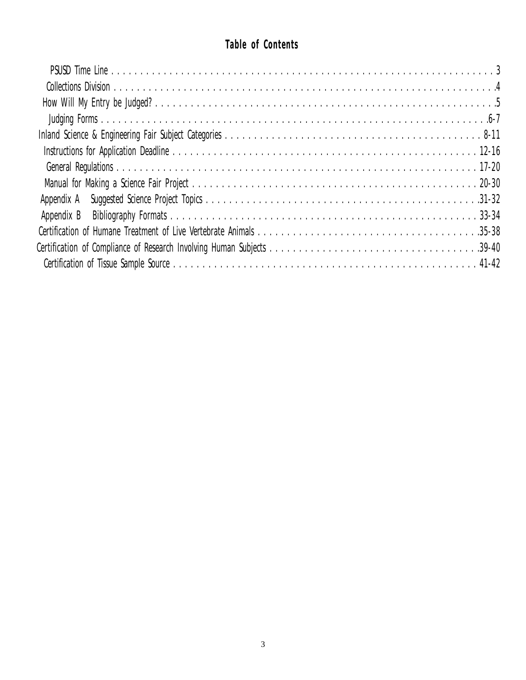# **Table of Contents**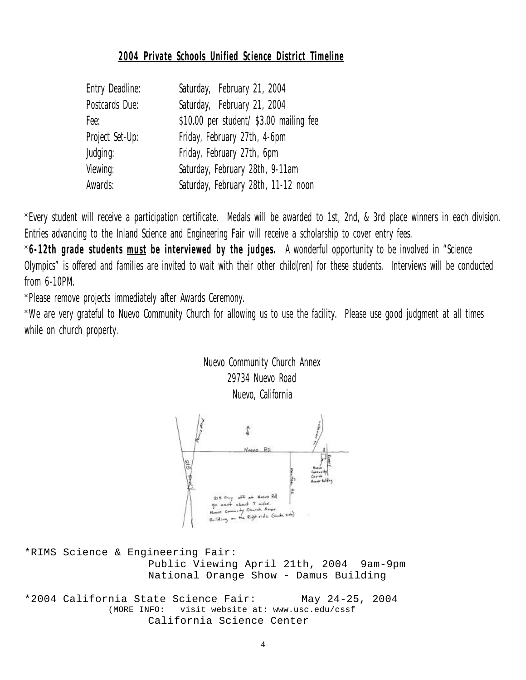# **2004 Private Schools Unified Science District Timeline**

| Entry Deadline: | Saturday, February 21, 2004             |  |  |
|-----------------|-----------------------------------------|--|--|
| Postcards Due:  | Saturday, February 21, 2004             |  |  |
| Fee:            | \$10.00 per student/ \$3.00 mailing fee |  |  |
| Project Set-Up: | Friday, February 27th, 4-6pm            |  |  |
| Judging:        | Friday, February 27th, 6pm              |  |  |
| Viewing:        | Saturday, February 28th, 9-11am         |  |  |
| Awards:         | Saturday, February 28th, 11-12 noon     |  |  |

\*Every student will receive a participation certificate. Medals will be awarded to 1st, 2nd, & 3rd place winners in each division. Entries advancing to the Inland Science and Engineering Fair will receive a scholarship to cover entry fees.

\***6-12th grade students must be interviewed by the judges.** A wonderful opportunity to be involved in "Science Olympics" is offered and families are invited to wait with their other child(ren) for these students. Interviews will be conducted from 6-10PM.

\*Please remove projects immediately after Awards Ceremony.

\*We are very grateful to Nuevo Community Church for allowing us to use the facility. Please use good judgment at all times while on church property.

# Nuevo Community Church Annex 29734 Nuevo Road Nuevo, California



\*RIMS Science & Engineering Fair: Public Viewing April 21th, 2004 9am-9pm National Orange Show - Damus Building

\*2004 California State Science Fair: May 24-25, 2004 (MORE INFO: visit website at: www.usc.edu/cssf California Science Center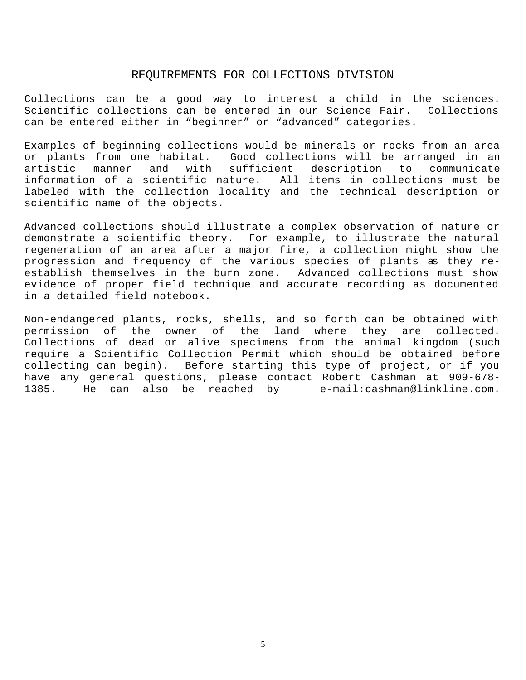#### REQUIREMENTS FOR COLLECTIONS DIVISION

Collections can be a good way to interest a child in the sciences. Scientific collections can be entered in our Science Fair. Collections can be entered either in "beginner" or "advanced" categories.

Examples of beginning collections would be minerals or rocks from an area or plants from one habitat. Good collections will be arranged in an artistic manner and with sufficient description to communicate information of a scientific nature. All items in collections must be labeled with the collection locality and the technical description or scientific name of the objects.

Advanced collections should illustrate a complex observation of nature or demonstrate a scientific theory. For example, to illustrate the natural regeneration of an area after a major fire, a collection might show the progression and frequency of the various species of plants as they reestablish themselves in the burn zone. Advanced collections must show evidence of proper field technique and accurate recording as documented in a detailed field notebook.

Non-endangered plants, rocks, shells, and so forth can be obtained with permission of the owner of the land where they are collected. Collections of dead or alive specimens from the animal kingdom (such require a Scientific Collection Permit which should be obtained before collecting can begin). Before starting this type of project, or if you have any general questions, please contact Robert Cashman at 909-678- 1385. He can also be reached by e-mail:cashman@linkline.com.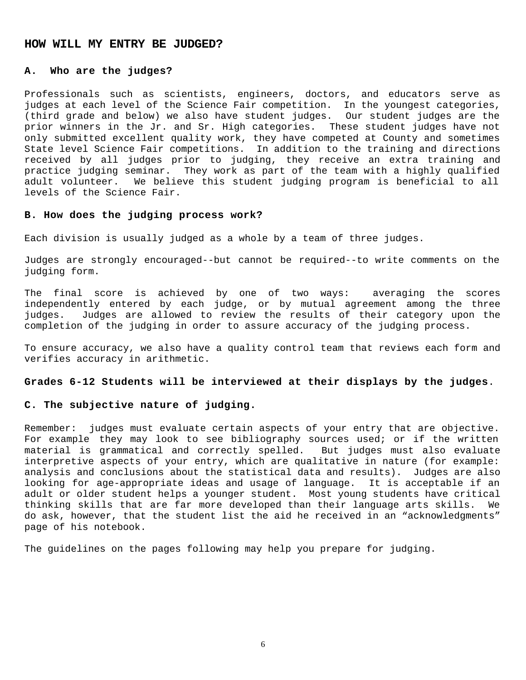#### **HOW WILL MY ENTRY BE JUDGED?**

#### **A. Who are the judges?**

Professionals such as scientists, engineers, doctors, and educators serve as judges at each level of the Science Fair competition. In the youngest categories, (third grade and below) we also have student judges. Our student judges are the prior winners in the Jr. and Sr. High categories. These student judges have not only submitted excellent quality work, they have competed at County and sometimes State level Science Fair competitions. In addition to the training and directions received by all judges prior to judging, they receive an extra training and practice judging seminar. They work as part of the team with a highly qualified adult volunteer. We believe this student judging program is beneficial to all levels of the Science Fair.

#### **B. How does the judging process work?**

Each division is usually judged as a whole by a team of three judges.

Judges are strongly encouraged--but cannot be required--to write comments on the judging form.

The final score is achieved by one of two ways: averaging the scores independently entered by each judge, or by mutual agreement among the three judges. Judges are allowed to review the results of their category upon the completion of the judging in order to assure accuracy of the judging process.

To ensure accuracy, we also have a quality control team that reviews each form and verifies accuracy in arithmetic.

#### **Grades 6-12 Students will be interviewed at their displays by the judges**.

#### **C. The subjective nature of judging.**

Remember: judges must evaluate certain aspects of your entry that are objective. For example they may look to see bibliography sources used; or if the written material is grammatical and correctly spelled. But judges must also evaluate interpretive aspects of your entry, which are qualitative in nature (for example: analysis and conclusions about the statistical data and results). Judges are also looking for age-appropriate ideas and usage of language. It is acceptable if an adult or older student helps a younger student. Most young students have critical thinking skills that are far more developed than their language arts skills. We do ask, however, that the student list the aid he received in an "acknowledgments" page of his notebook.

The guidelines on the pages following may help you prepare for judging.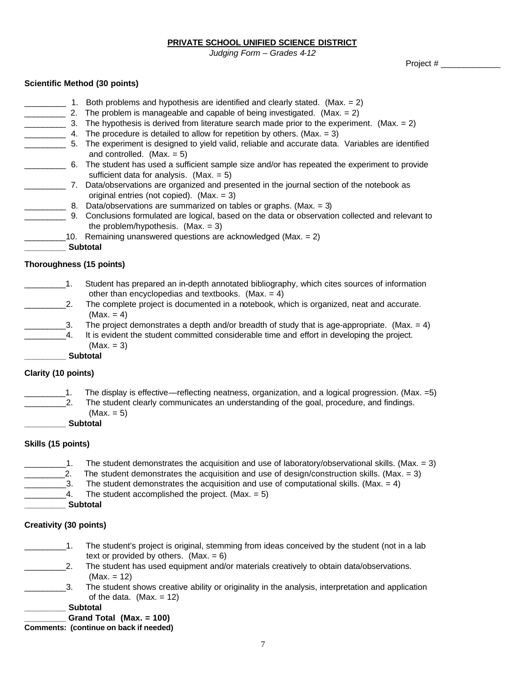**PRIVATE SCHOOL UNIFIED SCIENCE DISTRICT**

*Judging Form – Grades 4-12*

Project # \_\_\_\_\_\_\_\_\_\_\_\_\_

#### **Scientific Method (30 points)**

|                          | Both problems and hypothesis are identified and clearly stated. (Max. $= 2$ )                                                               |
|--------------------------|---------------------------------------------------------------------------------------------------------------------------------------------|
| 2.                       | The problem is manageable and capable of being investigated. (Max. = $2$ )                                                                  |
| 3.                       | The hypothesis is derived from literature search made prior to the experiment. (Max. $= 2$ )                                                |
|                          | The procedure is detailed to allow for repetition by others. (Max. $= 3$ )                                                                  |
| 5.                       | The experiment is designed to yield valid, reliable and accurate data. Variables are identified<br>and controlled. (Max. $= 5$ )            |
|                          | 6. The student has used a sufficient sample size and/or has repeated the experiment to provide<br>sufficient data for analysis. $(Max = 5)$ |
| 7.                       | Data/observations are organized and presented in the journal section of the notebook as<br>original entries (not copied). (Max. = 3)        |
| 8.                       | Data/observations are summarized on tables or graphs. (Max. = 3)                                                                            |
| 9.                       | Conclusions formulated are logical, based on the data or observation collected and relevant to<br>the problem/hypothesis. $(Max = 3)$       |
|                          | 10. Remaining unanswered questions are acknowledged (Max. = 2)                                                                              |
|                          | <b>Subtotal</b>                                                                                                                             |
| Thoroughness (15 points) |                                                                                                                                             |

- \_\_\_\_\_\_\_\_\_1. Student has prepared an in-depth annotated bibliography, which cites sources of information other than encyclopedias and textbooks. (Max.  $= 4$ )
- 2. The complete project is documented in a notebook, which is organized, neat and accurate.  $(Max. = 4)$
- $\qquad \qquad$  3. The project demonstrates a depth and/or breadth of study that is age-appropriate. (Max. = 4)
	- \_\_\_\_\_\_\_\_\_4. It is evident the student committed considerable time and effort in developing the project.  $(Max. = 3)$
	- **\_\_\_\_\_\_\_\_\_ Subtotal**

#### **Clarity (10 points)**

- 1. The display is effective—reflecting neatness, organization, and a logical progression. (Max.  $=5$ )
	- 2. The student clearly communicates an understanding of the goal, procedure, and findings.  $(Max. = 5)$
	- **\_\_\_\_\_\_\_\_\_ Subtotal**

#### **Skills (15 points)**

 $\_$ 1. The student demonstrates the acquisition and use of laboratory/observational skills. (Max. = 3) 2. The student demonstrates the acquisition and use of design/construction skills. (Max.  $= 3$ ) \_\_\_\_\_\_\_\_3. The student demonstrates the acquisition and use of computational skills. (Max. = 4)<br>\_\_\_\_\_\_\_4. The student accomplished the project. (Max. = 5) The student accomplished the project. (Max.  $= 5$ ) **\_\_\_\_\_\_\_\_\_ Subtotal**

#### **Creativity (30 points)**

- 1. The student's project is original, stemming from ideas conceived by the student (not in a lab text or provided by others.  $(Max = 6)$
- 2. The student has used equipment and/or materials creatively to obtain data/observations. (Max. = 12)
- \_\_\_\_\_\_\_\_\_3. The student shows creative ability or originality in the analysis, interpretation and application of the data.  $(Max = 12)$

#### **\_\_\_\_\_\_\_\_\_ Subtotal**

**\_\_\_\_\_\_\_\_\_ Grand Total (Max. = 100)**

**Comments: (continue on back if needed)**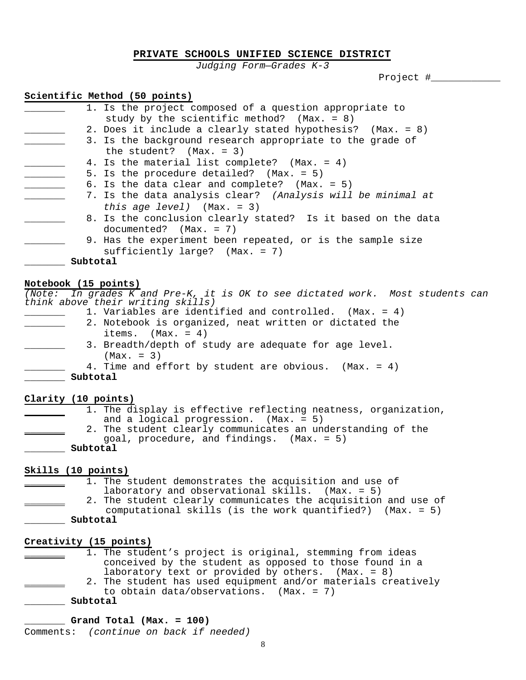#### **PRIVATE SCHOOLS UNIFIED SCIENCE DISTRICT**

*Judging Form—Grades K-3*

Project #\_\_\_\_\_\_\_\_\_\_\_\_

#### **Scientific Method (50 points)**

| 1. Is the project composed of a question appropriate to      |  |
|--------------------------------------------------------------|--|
| study by the scientific method? (Max. = $8$ )                |  |
| 2. Does it include a clearly stated hypothesis? (Max. = 8)   |  |
| 3. Is the background research appropriate to the grade of    |  |
| the student? $(Max. = 3)$                                    |  |
| 4. Is the material list complete? (Max. = 4)                 |  |
| 5. Is the procedure detailed? (Max. = 5)                     |  |
| 6. Is the data clear and complete? $(Max. = 5)$              |  |
| 7. Is the data analysis clear? (Analysis will be minimal at  |  |
| this age level) $(Max. = 3)$                                 |  |
| 8. Is the conclusion clearly stated? Is it based on the data |  |
| $documented?$ $(Max. = 7)$                                   |  |
| 9. Has the experiment been repeated, or is the sample size   |  |
| sufficiently large? $(Max. = 7)$                             |  |
| Subtotal                                                     |  |
|                                                              |  |

#### **Notebook (15 points)**

*(Note: In grades K and Pre-K, it is OK to see dictated work. Most students can think above their writing skills)* \_\_\_\_\_\_\_ 1. Variables are identified and controlled. (Max. = 4)

|          | I. Variables are identified and controlled. (Max. = 4) |
|----------|--------------------------------------------------------|
|          | 2. Notebook is organized, neat written or dictated the |
|          | items. $(Max. = 4)$                                    |
|          | 3. Breadth/depth of study are adequate for age level.  |
|          | $(Max. = 3)$                                           |
|          | 4. Time and effort by student are obvious. (Max. = 4)  |
| Subtotal |                                                        |

**Clarity (10 points)**

1. The display is effective reflecting neatness, organization, and a logical progression. (Max. = 5) 2. The student clearly communicates an understanding of the goal, procedure, and findings. (Max. = 5) **\_\_\_\_\_\_\_ Subtotal**

#### **Skills (10 points)**

1. The student demonstrates the acquisition and use of laboratory and observational skills. (Max. = 5) 2. The student clearly communicates the acquisition and use of computational skills (is the work quantified?) (Max. = 5) **\_\_\_\_\_\_\_ Subtotal**

#### **Creativity (15 points)**

|  | 1. The student's project is original, stemming from ideas |
|--|-----------------------------------------------------------|
|  | conceived by the student as opposed to those found in a   |
|  | laboratory text or provided by others. $(Max. = 8)$       |
|  | mbo atudont baa usad ogutamont and/on motoniala anootitra |

- \_\_\_\_\_\_\_ 2. The student has used equipment and/or materials creatively to obtain data/observations. (Max. = 7)
- **\_\_\_\_\_\_\_ Subtotal**

#### **\_\_\_\_\_\_\_ Grand Total (Max. = 100)**

Comments: *(continue on back if needed)*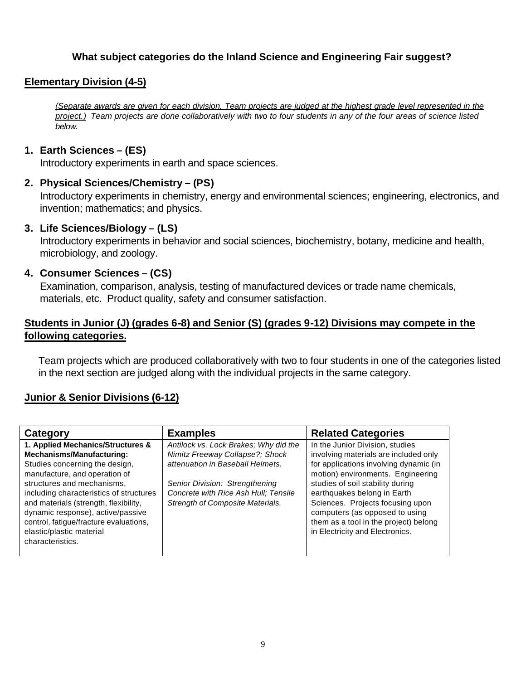# **What subject categories do the Inland Science and Engineering Fair suggest?**

# **Elementary Division (4-5)**

*(Separate awards are given for each division. Team projects are judged at the highest grade level represented in the project.) Team projects are done collaboratively with two to four students in any of the four areas of science listed below.*

# **1. Earth Sciences – (ES)**

Introductory experiments in earth and space sciences.

# **2. Physical Sciences/Chemistry – (PS)**

Introductory experiments in chemistry, energy and environmental sciences; engineering, electronics, and invention; mathematics; and physics.

## **3. Life Sciences/Biology – (LS)**

Introductory experiments in behavior and social sciences, biochemistry, botany, medicine and health, microbiology, and zoology.

# **4. Consumer Sciences – (CS)**

Examination, comparison, analysis, testing of manufactured devices or trade name chemicals, materials, etc. Product quality, safety and consumer satisfaction.

# **Students in Junior (J) (grades 6-8) and Senior (S) (grades 9-12) Divisions may compete in the following categories.**

Team projects which are produced collaboratively with two to four students in one of the categories listed in the next section are judged along with the individual projects in the same category.

# **Junior & Senior Divisions (6-12)**

| <b>Examples</b>                                                                                                                                                                                                                                                       | <b>Related Categories</b>                                                                                                                                                                                                                                                                                                                 |
|-----------------------------------------------------------------------------------------------------------------------------------------------------------------------------------------------------------------------------------------------------------------------|-------------------------------------------------------------------------------------------------------------------------------------------------------------------------------------------------------------------------------------------------------------------------------------------------------------------------------------------|
| Antilock vs. Lock Brakes; Why did the<br>Nimitz Freeway Collapse?; Shock<br>attenuation in Baseball Helmets.<br>Senior Division: Strengthening<br>Concrete with Rice Ash Hull; Tensile<br>including characteristics of structures<br>Strength of Composite Materials. | In the Junior Division, studies<br>involving materials are included only<br>for applications involving dynamic (in<br>motion) environments. Engineering<br>studies of soil stability during<br>earthquakes belong in Earth<br>Sciences. Projects focusing upon<br>computers (as opposed to using<br>them as a tool in the project) belong |
|                                                                                                                                                                                                                                                                       | in Electricity and Electronics.                                                                                                                                                                                                                                                                                                           |
|                                                                                                                                                                                                                                                                       |                                                                                                                                                                                                                                                                                                                                           |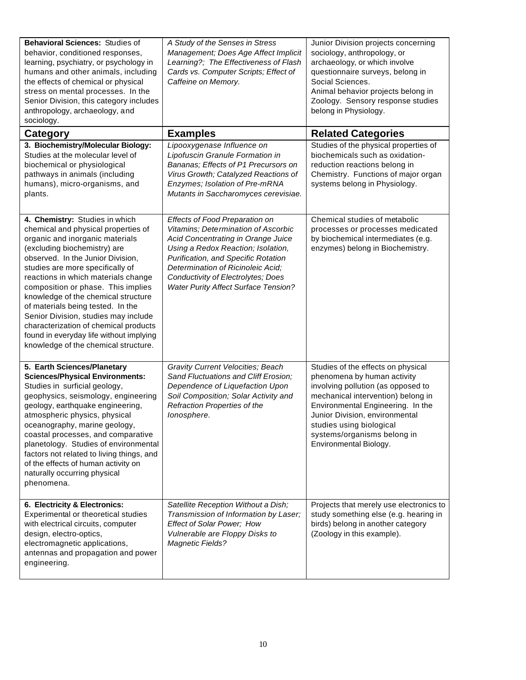| Behavioral Sciences: Studies of<br>behavior, conditioned responses,<br>learning, psychiatry, or psychology in<br>humans and other animals, including<br>the effects of chemical or physical<br>stress on mental processes. In the<br>Senior Division, this category includes<br>anthropology, archaeology, and<br>sociology.                                                                                                                                                                                                                   | A Study of the Senses in Stress<br>Management; Does Age Affect Implicit<br>Learning?; The Effectiveness of Flash<br>Cards vs. Computer Scripts; Effect of<br>Caffeine on Memory.                                                                                                                                   | Junior Division projects concerning<br>sociology, anthropology, or<br>archaeology, or which involve<br>questionnaire surveys, belong in<br>Social Sciences.<br>Animal behavior projects belong in<br>Zoology. Sensory response studies<br>belong in Physiology.                                           |
|------------------------------------------------------------------------------------------------------------------------------------------------------------------------------------------------------------------------------------------------------------------------------------------------------------------------------------------------------------------------------------------------------------------------------------------------------------------------------------------------------------------------------------------------|--------------------------------------------------------------------------------------------------------------------------------------------------------------------------------------------------------------------------------------------------------------------------------------------------------------------|-----------------------------------------------------------------------------------------------------------------------------------------------------------------------------------------------------------------------------------------------------------------------------------------------------------|
| <b>Category</b>                                                                                                                                                                                                                                                                                                                                                                                                                                                                                                                                | <b>Examples</b>                                                                                                                                                                                                                                                                                                    | <b>Related Categories</b>                                                                                                                                                                                                                                                                                 |
| 3. Biochemistry/Molecular Biology:<br>Studies at the molecular level of<br>biochemical or physiological<br>pathways in animals (including<br>humans), micro-organisms, and<br>plants.                                                                                                                                                                                                                                                                                                                                                          | Lipooxygenase Influence on<br>Lipofuscin Granule Formation in<br>Bananas; Effects of P1 Precursors on<br>Virus Growth; Catalyzed Reactions of<br>Enzymes; Isolation of Pre-mRNA<br>Mutants in Saccharomyces cerevisiae.                                                                                            | Studies of the physical properties of<br>biochemicals such as oxidation-<br>reduction reactions belong in<br>Chemistry. Functions of major organ<br>systems belong in Physiology.                                                                                                                         |
| 4. Chemistry: Studies in which<br>chemical and physical properties of<br>organic and inorganic materials<br>(excluding biochemistry) are<br>observed. In the Junior Division,<br>studies are more specifically of<br>reactions in which materials change<br>composition or phase. This implies<br>knowledge of the chemical structure<br>of materials being tested. In the<br>Senior Division, studies may include<br>characterization of chemical products<br>found in everyday life without implying<br>knowledge of the chemical structure. | Effects of Food Preparation on<br>Vitamins; Determination of Ascorbic<br>Acid Concentrating in Orange Juice<br>Using a Redox Reaction; Isolation,<br>Purification, and Specific Rotation<br>Determination of Ricinoleic Acid;<br>Conductivity of Electrolytes; Does<br><b>Water Purity Affect Surface Tension?</b> | Chemical studies of metabolic<br>processes or processes medicated<br>by biochemical intermediates (e.g.<br>enzymes) belong in Biochemistry.                                                                                                                                                               |
| 5. Earth Sciences/Planetary<br><b>Sciences/Physical Environments:</b><br>Studies in surficial geology,<br>geophysics, seismology, engineering<br>geology, earthquake engineering,<br>atmospheric physics, physical<br>oceanography, marine geology,<br>coastal processes, and comparative<br>planetology. Studies of environmental<br>factors not related to living things, and<br>of the effects of human activity on<br>naturally occurring physical<br>phenomena.                                                                           | <b>Gravity Current Velocities; Beach</b><br>Sand Fluctuations and Cliff Erosion;<br>Dependence of Liquefaction Upon<br>Soil Composition; Solar Activity and<br>Refraction Properties of the<br>lonosphere.                                                                                                         | Studies of the effects on physical<br>phenomena by human activity<br>involving pollution (as opposed to<br>mechanical intervention) belong in<br>Environmental Engineering. In the<br>Junior Division, environmental<br>studies using biological<br>systems/organisms belong in<br>Environmental Biology. |
| 6. Electricity & Electronics:<br>Experimental or theoretical studies<br>with electrical circuits, computer<br>design, electro-optics,<br>electromagnetic applications,<br>antennas and propagation and power<br>engineering.                                                                                                                                                                                                                                                                                                                   | Satellite Reception Without a Dish;<br>Transmission of Information by Laser;<br>Effect of Solar Power; How<br>Vulnerable are Floppy Disks to<br><b>Magnetic Fields?</b>                                                                                                                                            | Projects that merely use electronics to<br>study something else (e.g. hearing in<br>birds) belong in another category<br>(Zoology in this example).                                                                                                                                                       |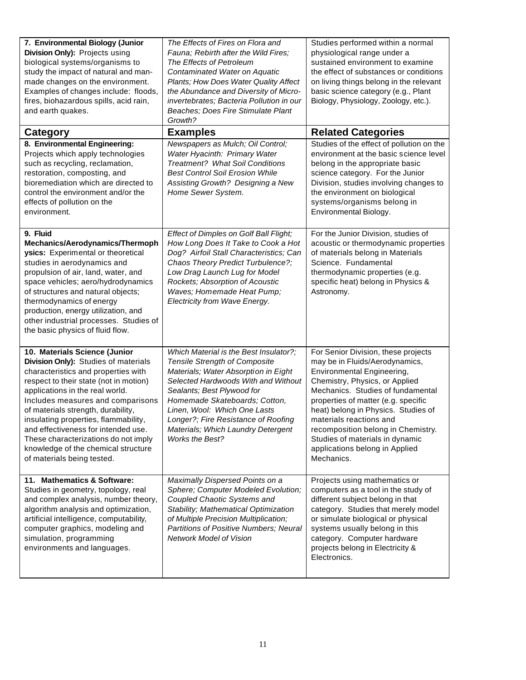| 7. Environmental Biology (Junior<br>Division Only): Projects using<br>biological systems/organisms to<br>study the impact of natural and man-<br>made changes on the environment.<br>Examples of changes include: floods,<br>fires, biohazardous spills, acid rain,<br>and earth quakes.                                                                                                                                                                         | The Effects of Fires on Flora and<br>Fauna: Rebirth after the Wild Fires:<br>The Effects of Petroleum<br>Contaminated Water on Aquatic<br>Plants; How Does Water Quality Affect<br>the Abundance and Diversity of Micro-<br>invertebrates; Bacteria Pollution in our<br>Beaches; Does Fire Stimulate Plant<br>Growth?                                        | Studies performed within a normal<br>physiological range under a<br>sustained environment to examine<br>the effect of substances or conditions<br>on living things belong in the relevant<br>basic science category (e.g., Plant<br>Biology, Physiology, Zoology, etc.).                                                                                                                                     |
|------------------------------------------------------------------------------------------------------------------------------------------------------------------------------------------------------------------------------------------------------------------------------------------------------------------------------------------------------------------------------------------------------------------------------------------------------------------|--------------------------------------------------------------------------------------------------------------------------------------------------------------------------------------------------------------------------------------------------------------------------------------------------------------------------------------------------------------|--------------------------------------------------------------------------------------------------------------------------------------------------------------------------------------------------------------------------------------------------------------------------------------------------------------------------------------------------------------------------------------------------------------|
| <b>Category</b>                                                                                                                                                                                                                                                                                                                                                                                                                                                  | <b>Examples</b>                                                                                                                                                                                                                                                                                                                                              | <b>Related Categories</b>                                                                                                                                                                                                                                                                                                                                                                                    |
| 8. Environmental Engineering:<br>Projects which apply technologies<br>such as recycling, reclamation,<br>restoration, composting, and<br>bioremediation which are directed to<br>control the environment and/or the<br>effects of pollution on the<br>environment.                                                                                                                                                                                               | Newspapers as Mulch; Oil Control;<br>Water Hyacinth: Primary Water<br><b>Treatment? What Soil Conditions</b><br><b>Best Control Soil Erosion While</b><br>Assisting Growth? Designing a New<br>Home Sewer System.                                                                                                                                            | Studies of the effect of pollution on the<br>environment at the basic science level<br>belong in the appropriate basic<br>science category. For the Junior<br>Division, studies involving changes to<br>the environment on biological<br>systems/organisms belong in<br>Environmental Biology.                                                                                                               |
| 9. Fluid<br>Mechanics/Aerodynamics/Thermoph<br>ysics: Experimental or theoretical<br>studies in aerodynamics and<br>propulsion of air, land, water, and<br>space vehicles; aero/hydrodynamics<br>of structures and natural objects;<br>thermodynamics of energy<br>production, energy utilization, and<br>other industrial processes. Studies of<br>the basic physics of fluid flow.                                                                             | Effect of Dimples on Golf Ball Flight;<br>How Long Does It Take to Cook a Hot<br>Dog? Airfoil Stall Characteristics; Can<br>Chaos Theory Predict Turbulence?;<br>Low Drag Launch Lug for Model<br>Rockets; Absorption of Acoustic<br>Waves; Homemade Heat Pump;<br>Electricity from Wave Energy.                                                             | For the Junior Division, studies of<br>acoustic or thermodynamic properties<br>of materials belong in Materials<br>Science. Fundamental<br>thermodynamic properties (e.g.<br>specific heat) belong in Physics &<br>Astronomy.                                                                                                                                                                                |
| 10. Materials Science (Junior<br>Division Only): Studies of materials<br>characteristics and properties with<br>respect to their state (not in motion)<br>applications in the real world.<br>Includes measures and comparisons<br>of materials strength, durability,<br>insulating properties, flammability,<br>and effectiveness for intended use.<br>These characterizations do not imply<br>knowledge of the chemical structure<br>of materials being tested. | Which Material is the Best Insulator?;<br>Tensile Strength of Composite<br>Materials; Water Absorption in Eight<br>Selected Hardwoods With and Without<br>Sealants; Best Plywood for<br>Homemade Skateboards; Cotton,<br>Linen, Wool: Which One Lasts<br>Longer?; Fire Resistance of Roofing<br>Materials; Which Laundry Detergent<br><b>Works the Best?</b> | For Senior Division, these projects<br>may be in Fluids/Aerodynamics,<br>Environmental Engineering,<br>Chemistry, Physics, or Applied<br>Mechanics. Studies of fundamental<br>properties of matter (e.g. specific<br>heat) belong in Physics. Studies of<br>materials reactions and<br>recomposition belong in Chemistry.<br>Studies of materials in dynamic<br>applications belong in Applied<br>Mechanics. |
| 11. Mathematics & Software:<br>Studies in geometry, topology, real<br>and complex analysis, number theory,<br>algorithm analysis and optimization,<br>artificial intelligence, computability,<br>computer graphics, modeling and<br>simulation, programming<br>environments and languages.                                                                                                                                                                       | Maximally Dispersed Points on a<br>Sphere; Computer Modeled Evolution;<br>Coupled Chaotic Systems and<br>Stability; Mathematical Optimization<br>of Multiple Precision Multiplication;<br>Partitions of Positive Numbers; Neural<br><b>Network Model of Vision</b>                                                                                           | Projects using mathematics or<br>computers as a tool in the study of<br>different subject belong in that<br>category. Studies that merely model<br>or simulate biological or physical<br>systems usually belong in this<br>category. Computer hardware<br>projects belong in Electricity &<br>Electronics.                                                                                                   |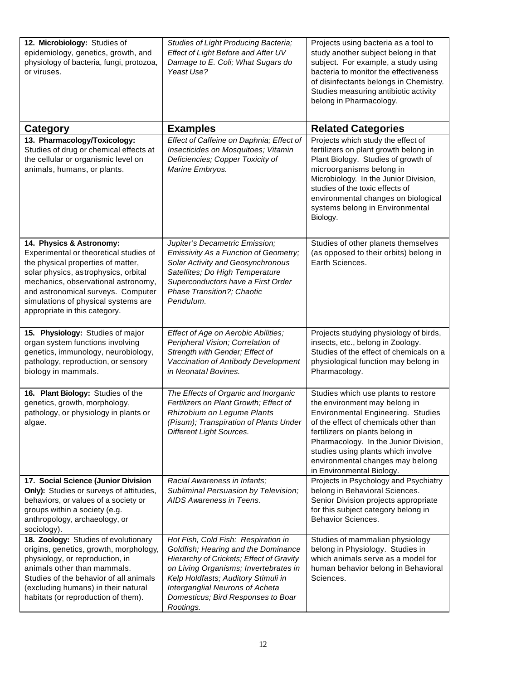| 12. Microbiology: Studies of<br>epidemiology, genetics, growth, and<br>physiology of bacteria, fungi, protozoa,<br>or viruses.                                                                                                                                                                        | Studies of Light Producing Bacteria;<br>Effect of Light Before and After UV<br>Damage to E. Coli; What Sugars do<br>Yeast Use?                                                                                                                                                               | Projects using bacteria as a tool to<br>study another subject belong in that<br>subject. For example, a study using<br>bacteria to monitor the effectiveness<br>of disinfectants belongs in Chemistry.<br>Studies measuring antibiotic activity<br>belong in Pharmacology.                                                                    |
|-------------------------------------------------------------------------------------------------------------------------------------------------------------------------------------------------------------------------------------------------------------------------------------------------------|----------------------------------------------------------------------------------------------------------------------------------------------------------------------------------------------------------------------------------------------------------------------------------------------|-----------------------------------------------------------------------------------------------------------------------------------------------------------------------------------------------------------------------------------------------------------------------------------------------------------------------------------------------|
| <b>Category</b>                                                                                                                                                                                                                                                                                       | <b>Examples</b>                                                                                                                                                                                                                                                                              | <b>Related Categories</b>                                                                                                                                                                                                                                                                                                                     |
| 13. Pharmacology/Toxicology:<br>Studies of drug or chemical effects at<br>the cellular or organismic level on<br>animals, humans, or plants.                                                                                                                                                          | Effect of Caffeine on Daphnia; Effect of<br>Insecticides on Mosquitoes; Vitamin<br>Deficiencies; Copper Toxicity of<br>Marine Embryos.                                                                                                                                                       | Projects which study the effect of<br>fertilizers on plant growth belong in<br>Plant Biology. Studies of growth of<br>microorganisms belong in<br>Microbiology. In the Junior Division,<br>studies of the toxic effects of<br>environmental changes on biological<br>systems belong in Environmental<br>Biology.                              |
| 14. Physics & Astronomy:<br>Experimental or theoretical studies of<br>the physical properties of matter,<br>solar physics, astrophysics, orbital<br>mechanics, observational astronomy,<br>and astronomical surveys. Computer<br>simulations of physical systems are<br>appropriate in this category. | Jupiter's Decametric Emission;<br>Emissivity As a Function of Geometry;<br>Solar Activity and Geosynchronous<br>Satellites; Do High Temperature<br>Superconductors have a First Order<br>Phase Transition?; Chaotic<br>Pendulum.                                                             | Studies of other planets themselves<br>(as opposed to their orbits) belong in<br>Earth Sciences.                                                                                                                                                                                                                                              |
| 15. Physiology: Studies of major<br>organ system functions involving<br>genetics, immunology, neurobiology,<br>pathology, reproduction, or sensory<br>biology in mammals.                                                                                                                             | Effect of Age on Aerobic Abilities;<br>Peripheral Vision; Correlation of<br>Strength with Gender; Effect of<br>Vaccination of Antibody Development<br>in Neonatal Bovines.                                                                                                                   | Projects studying physiology of birds,<br>insects, etc., belong in Zoology.<br>Studies of the effect of chemicals on a<br>physiological function may belong in<br>Pharmacology.                                                                                                                                                               |
| 16. Plant Biology: Studies of the<br>genetics, growth, morphology,<br>pathology, or physiology in plants or<br>aigae.                                                                                                                                                                                 | The Effects of Organic and Inorganic<br>Fertilizers on Plant Growth; Effect of<br>Rhizobium on Legume Plants<br>(Pisum); Transpiration of Plants Under<br><b>Different Light Sources.</b>                                                                                                    | Studies which use plants to restore<br>the environment may belong in<br><b>Environmental Engineering. Studies</b><br>of the effect of chemicals other than<br>fertilizers on plants belong in<br>Pharmacology. In the Junior Division,<br>studies using plants which involve<br>environmental changes may belong<br>in Environmental Biology. |
| 17. Social Science (Junior Division<br>Only): Studies or surveys of attitudes,<br>behaviors, or values of a society or<br>groups within a society (e.g.<br>anthropology, archaeology, or<br>sociology).                                                                                               | Racial Awareness in Infants;<br>Subliminal Persuasion by Television;<br>AIDS Awareness in Teens.                                                                                                                                                                                             | Projects in Psychology and Psychiatry<br>belong in Behavioral Sciences.<br>Senior Division projects appropriate<br>for this subject category belong in<br>Behavior Sciences.                                                                                                                                                                  |
| 18. Zoology: Studies of evolutionary<br>origins, genetics, growth, morphology,<br>physiology, or reproduction, in<br>animals other than mammals.<br>Studies of the behavior of all animals<br>(excluding humans) in their natural<br>habitats (or reproduction of them).                              | Hot Fish, Cold Fish: Respiration in<br>Goldfish; Hearing and the Dominance<br>Hierarchy of Crickets; Effect of Gravity<br>on Living Organisms; Invertebrates in<br>Kelp Holdfasts; Auditory Stimuli in<br>Interganglial Neurons of Acheta<br>Domesticus; Bird Responses to Boar<br>Rootings. | Studies of mammalian physiology<br>belong in Physiology. Studies in<br>which animals serve as a model for<br>human behavior belong in Behavioral<br>Sciences.                                                                                                                                                                                 |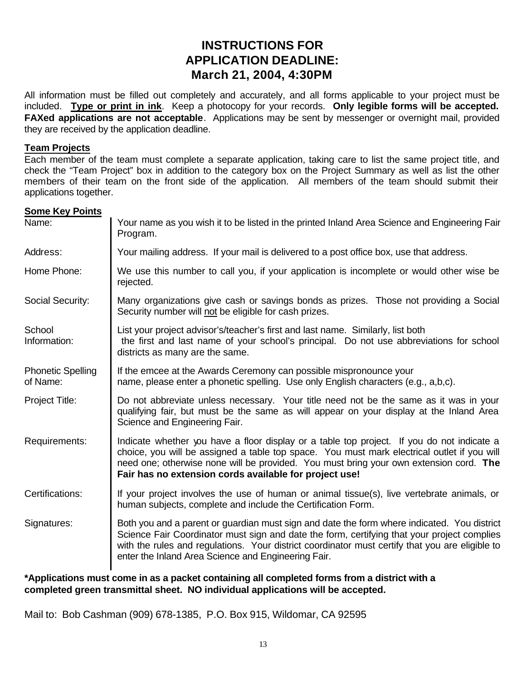# **INSTRUCTIONS FOR APPLICATION DEADLINE: March 21, 2004, 4:30PM**

All information must be filled out completely and accurately, and all forms applicable to your project must be included. **Type or print in ink**. Keep a photocopy for your records. **Only legible forms will be accepted. FAXed applications are not acceptable**. Applications may be sent by messenger or overnight mail, provided they are received by the application deadline.

#### **Team Projects**

Each member of the team must complete a separate application, taking care to list the same project title, and check the "Team Project" box in addition to the category box on the Project Summary as well as list the other members of their team on the front side of the application. All members of the team should submit their applications together.

#### **Some Key Points**

| Your name as you wish it to be listed in the printed Inland Area Science and Engineering Fair<br>Program.                                                                                                                                                                                                                                            |  |  |  |  |
|------------------------------------------------------------------------------------------------------------------------------------------------------------------------------------------------------------------------------------------------------------------------------------------------------------------------------------------------------|--|--|--|--|
| Your mailing address. If your mail is delivered to a post office box, use that address.                                                                                                                                                                                                                                                              |  |  |  |  |
| We use this number to call you, if your application is incomplete or would other wise be<br>rejected.                                                                                                                                                                                                                                                |  |  |  |  |
| Many organizations give cash or savings bonds as prizes. Those not providing a Social<br>Security number will not be eligible for cash prizes.                                                                                                                                                                                                       |  |  |  |  |
| List your project advisor's/teacher's first and last name. Similarly, list both<br>the first and last name of your school's principal. Do not use abbreviations for school<br>districts as many are the same.                                                                                                                                        |  |  |  |  |
| If the emcee at the Awards Ceremony can possible mispronounce your<br>name, please enter a phonetic spelling. Use only English characters (e.g., a,b,c).                                                                                                                                                                                             |  |  |  |  |
| Do not abbreviate unless necessary. Your title need not be the same as it was in your<br>qualifying fair, but must be the same as will appear on your display at the Inland Area<br>Science and Engineering Fair.                                                                                                                                    |  |  |  |  |
| Indicate whether you have a floor display or a table top project. If you do not indicate a<br>choice, you will be assigned a table top space. You must mark electrical outlet if you will<br>need one; otherwise none will be provided. You must bring your own extension cord. The<br>Fair has no extension cords available for project use!        |  |  |  |  |
| If your project involves the use of human or animal tissue(s), live vertebrate animals, or<br>human subjects, complete and include the Certification Form.                                                                                                                                                                                           |  |  |  |  |
| Both you and a parent or guardian must sign and date the form where indicated. You district<br>Science Fair Coordinator must sign and date the form, certifying that your project complies<br>with the rules and regulations. Your district coordinator must certify that you are eligible to<br>enter the Inland Area Science and Engineering Fair. |  |  |  |  |
|                                                                                                                                                                                                                                                                                                                                                      |  |  |  |  |

**\*Applications must come in as a packet containing all completed forms from a district with a completed green transmittal sheet. NO individual applications will be accepted.**

Mail to: Bob Cashman (909) 678-1385, P.O. Box 915, Wildomar, CA 92595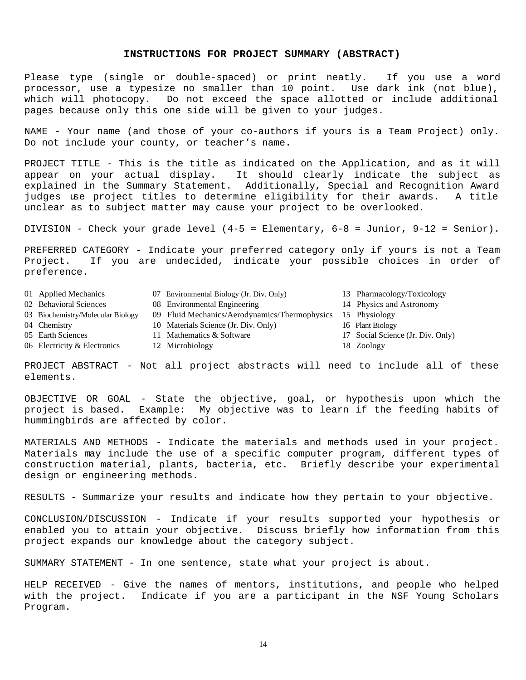#### **INSTRUCTIONS FOR PROJECT SUMMARY (ABSTRACT)**

Please type (single or double-spaced) or print neatly. If you use a word processor, use a typesize no smaller than 10 point. Use dark ink (not blue), which will photocopy. Do not exceed the space allotted or include additional pages because only this one side will be given to your judges.

NAME - Your name (and those of your co-authors if yours is a Team Project) only. Do not include your county, or teacher's name.

PROJECT TITLE - This is the title as indicated on the Application, and as it will appear on your actual display. It should clearly indicate the subject as explained in the Summary Statement. Additionally, Special and Recognition Award judges use project titles to determine eligibility for their awards. A title unclear as to subject matter may cause your project to be overlooked.

DIVISION - Check your grade level (4-5 = Elementary, 6-8 = Junior, 9-12 = Senior).

PREFERRED CATEGORY - Indicate your preferred category only if yours is not a Team Project. If you are undecided, indicate your possible choices in order of preference.

| 01 Applied Mechanics              | 07 Environmental Biology (Jr. Div. Only)      | 13 Pharmacology/Toxicology        |
|-----------------------------------|-----------------------------------------------|-----------------------------------|
| 02 Behavioral Sciences            | 08 Environmental Engineering                  | 14 Physics and Astronomy          |
| 03 Biochemistry/Molecular Biology | 09 Fluid Mechanics/Aerodynamics/Thermophysics | 15 Physiology                     |
| 04 Chemistry                      | 10 Materials Science (Jr. Div. Only)          | 16 Plant Biology                  |
| 05 Earth Sciences                 | 11 Mathematics & Software                     | 17 Social Science (Jr. Div. Only) |
| 06 Electricity & Electronics      | 12 Microbiology                               | 18 Zoology                        |
|                                   |                                               |                                   |

PROJECT ABSTRACT - Not all project abstracts will need to include all of these elements.

OBJECTIVE OR GOAL - State the objective, goal, or hypothesis upon which the project is based. Example: My objective was to learn if the feeding habits of hummingbirds are affected by color.

MATERIALS AND METHODS - Indicate the materials and methods used in your project. Materials may include the use of a specific computer program, different types of construction material, plants, bacteria, etc. Briefly describe your experimental design or engineering methods.

RESULTS - Summarize your results and indicate how they pertain to your objective.

CONCLUSION/DISCUSSION - Indicate if your results supported your hypothesis or enabled you to attain your objective. Discuss briefly how information from this project expands our knowledge about the category subject.

SUMMARY STATEMENT - In one sentence, state what your project is about.

HELP RECEIVED - Give the names of mentors, institutions, and people who helped with the project. Indicate if you are a participant in the NSF Young Scholars Program.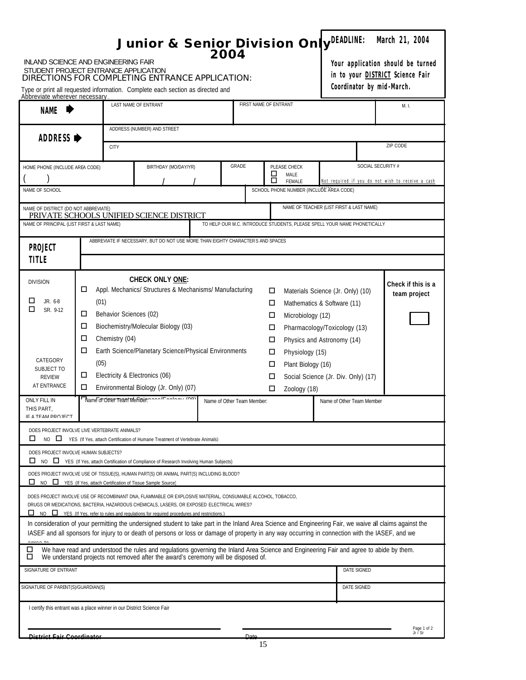| <b>INLAND SCIENCE AND ENGINEERING FAIR</b><br>STUDENT PROJECT ENTRANCE APPLICATION<br>Abbreviate wherever necessary |                                                                                                                                                                                                                                         |                                          | DIRECTIONS FOR COMPLETING ENTRANCE APPLICATION:<br>Type or print all requested information. Complete each section as directed and                                                                                                                                                                                                                                                                                                                                                                                                                                |  |                                                                          |                                 |                                                            |                                                                                                                                |                           | March 21, 2004<br>Your application should be turned<br>in to your <b>DISTRICT</b> Science Fair<br>Coordinator by mid-March. |
|---------------------------------------------------------------------------------------------------------------------|-----------------------------------------------------------------------------------------------------------------------------------------------------------------------------------------------------------------------------------------|------------------------------------------|------------------------------------------------------------------------------------------------------------------------------------------------------------------------------------------------------------------------------------------------------------------------------------------------------------------------------------------------------------------------------------------------------------------------------------------------------------------------------------------------------------------------------------------------------------------|--|--------------------------------------------------------------------------|---------------------------------|------------------------------------------------------------|--------------------------------------------------------------------------------------------------------------------------------|---------------------------|-----------------------------------------------------------------------------------------------------------------------------|
| <b>NAME</b>                                                                                                         |                                                                                                                                                                                                                                         |                                          | LAST NAME OF ENTRANT                                                                                                                                                                                                                                                                                                                                                                                                                                                                                                                                             |  | FIRST NAME OF ENTRANT                                                    |                                 |                                                            |                                                                                                                                |                           | M. I.                                                                                                                       |
|                                                                                                                     | ADDRESS (NUMBER) AND STREET<br>ADDRESS ▶<br><b>CITY</b>                                                                                                                                                                                 |                                          |                                                                                                                                                                                                                                                                                                                                                                                                                                                                                                                                                                  |  |                                                                          |                                 |                                                            |                                                                                                                                |                           | ZIP CODE                                                                                                                    |
| NAME OF SCHOOL                                                                                                      | GRADE<br>SOCIAL SECURITY #<br>PLEASE CHECK<br>BIRTHDAY (MO/DAY/YR)<br>HOME PHONE (INCLUDE AREA CODE)<br>O<br>MALE<br>П<br>Not required if you do not wish to receive a cash<br><b>FEMALE</b><br>SCHOOL PHONE NUMBER (INCLUDE AREA CODE) |                                          |                                                                                                                                                                                                                                                                                                                                                                                                                                                                                                                                                                  |  |                                                                          |                                 |                                                            |                                                                                                                                |                           |                                                                                                                             |
| NAME OF DISTRICT (DO NOT ABBREVIATE)<br>NAME OF PRINCIPAL (LIST FIRST & LAST NAME)<br>PROJECT<br><b>TITLE</b>       |                                                                                                                                                                                                                                         |                                          | PRIVATE SCHOOLS UNIFIED SCIENCE DISTRICT<br>ABBREVIATE IF NECESSARY, BUT DO NOT USE MORE THAN EIGHTY CHARACTERS AND SPACES                                                                                                                                                                                                                                                                                                                                                                                                                                       |  | TO HELP OUR M.C. INTRODUCE STUDENTS, PLEASE SPELL YOUR NAME PHONETICALLY |                                 |                                                            | NAME OF TEACHER (LIST FIRST & LAST NAME)                                                                                       |                           |                                                                                                                             |
| <b>DIVISION</b><br>◻<br>JR. 6-8<br>□<br>SR. 9-12<br>CATEGORY<br>SUBJECT TO                                          | □<br>(01)<br>□<br>□<br>□<br>□<br>(05)                                                                                                                                                                                                   | Behavior Sciences (02)<br>Chemistry (04) | <b>CHECK ONLY ONE:</b><br>Appl. Mechanics/ Structures & Mechanisms/ Manufacturing<br>Biochemistry/Molecular Biology (03)<br>Earth Science/Planetary Science/Physical Environments                                                                                                                                                                                                                                                                                                                                                                                |  |                                                                          | □<br>□<br>□<br>□<br>□<br>□<br>□ | Microbiology (12)<br>Physiology (15)<br>Plant Biology (16) | Materials Science (Jr. Only) (10)<br>Mathematics & Software (11)<br>Pharmacology/Toxicology (13)<br>Physics and Astronomy (14) |                           | Check if this is a<br>team project                                                                                          |
| <b>REVIEW</b><br>AT ENTRANCE<br>ONLY FILL IN<br>THIS PART,<br>IF A TEAM PRO IFCT                                    | □<br>□                                                                                                                                                                                                                                  |                                          | Electricity & Electronics (06)<br>Environmental Biology (Jr. Only) (07)<br>Name of Other Team Member manal Lands will con-                                                                                                                                                                                                                                                                                                                                                                                                                                       |  | Name of Other Team Member:                                               | □<br>□                          | Zoology (18)                                               | Social Science (Jr. Div. Only) (17)                                                                                            | Name of Other Team Member |                                                                                                                             |
| DOES PROJECT INVOLVE LIVE VERTEBRATE ANIMALS?<br>□                                                                  |                                                                                                                                                                                                                                         |                                          | NO E YES (If Yes. attach Certification of Humane Treatment of Vertebrate Animals)                                                                                                                                                                                                                                                                                                                                                                                                                                                                                |  |                                                                          |                                 |                                                            |                                                                                                                                |                           |                                                                                                                             |
| DOES PROJECT INVOLVE HUMAN SUBJECTS?<br>□                                                                           |                                                                                                                                                                                                                                         |                                          | NO<br>TYES (If Yes, attach Certification of Compliance of Research Involving Human Subjects)<br>DOES PROJECT INVOLVE USE OF TISSUE(S), HUMAN PART(S) OR ANIMAL PART(S) INCLUDING BLOOD?<br>NO <b>I</b> YES (If Yes, attach Certification of Tissue Sample Source)<br>DOES PROJECT INVOLVE USE OF RECOMBINANT DNA, FLAMMABLE OR EXPLOSIVE MATERIAL, CONSUMABLE ALCOHOL, TOBACCO,<br>DRUGS OR MEDICATIONS, BACTERIA, HAZARDOUS CHEMICALS, LASERS, OR EXPOSED ELECTRICAL WIRES?                                                                                     |  |                                                                          |                                 |                                                            |                                                                                                                                |                           |                                                                                                                             |
| $\lambda$<br>□                                                                                                      |                                                                                                                                                                                                                                         |                                          | NO <u>In YES</u> (If Yes, refer to rules and requiations for required procedures and restrictions.)<br>In consideration of your permitting the undersigned student to take part in the Inland Area Science and Engineering Fair, we waive all claims against the<br>IASEF and all sponsors for injury to or death of persons or loss or damage of property in any way occurring in connection with the IASEF, and we<br>We have read and understood the rules and regulations governing the Inland Area Science and Engineering Fair and agree to abide by them. |  |                                                                          |                                 |                                                            |                                                                                                                                |                           |                                                                                                                             |
|                                                                                                                     | We understand projects not removed after the award's ceremony will be disposed of.<br>□<br>SIGNATURE OF ENTRANT<br>DATE SIGNED                                                                                                          |                                          |                                                                                                                                                                                                                                                                                                                                                                                                                                                                                                                                                                  |  |                                                                          |                                 |                                                            |                                                                                                                                |                           |                                                                                                                             |
|                                                                                                                     | SIGNATURE OF PARENT(S)/GUARDIAN(S)<br>DATE SIGNED                                                                                                                                                                                       |                                          |                                                                                                                                                                                                                                                                                                                                                                                                                                                                                                                                                                  |  |                                                                          |                                 |                                                            |                                                                                                                                |                           |                                                                                                                             |
| I certify this entrant was a place winner in our District Science Fair<br>District Fair Coordinator                 |                                                                                                                                                                                                                                         |                                          |                                                                                                                                                                                                                                                                                                                                                                                                                                                                                                                                                                  |  | Dato                                                                     |                                 |                                                            |                                                                                                                                |                           | Page 1 of 2<br>Jr / Sr                                                                                                      |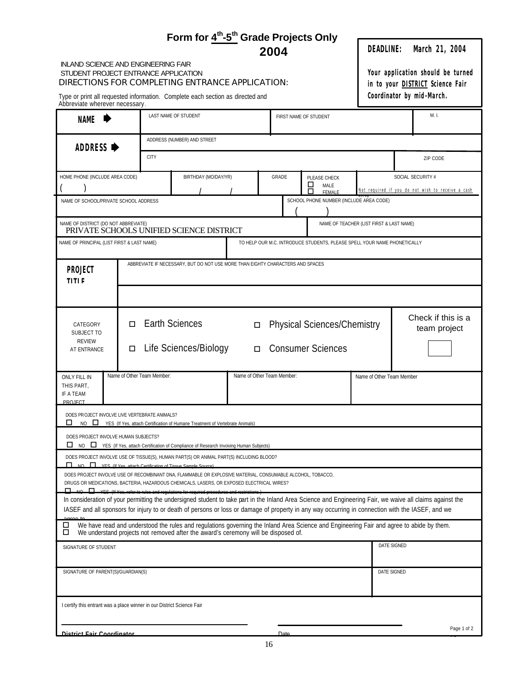| <b>INLAND SCIENCE AND ENGINEERING FAIR</b><br>STUDENT PROJECT ENTRANCE APPLICATION<br>Abbreviate wherever necessary. |                                                                                                                                                                                                                                                   |                       | Form for 4 <sup>th</sup> -5 <sup>th</sup> Grade Projects Only<br>DIRECTIONS FOR COMPLETING ENTRANCE APPLICATION:<br>Type or print all requested information. Complete each section as directed and                             |                               | 2004 |                                                                          | DEADLINE:                                | March 21, 2004<br>Your application should be turned<br>in to your <b>DISTRICT</b> Science Fair<br>Coordinator by mid-March.                                                                                                                                                                                   |
|----------------------------------------------------------------------------------------------------------------------|---------------------------------------------------------------------------------------------------------------------------------------------------------------------------------------------------------------------------------------------------|-----------------------|--------------------------------------------------------------------------------------------------------------------------------------------------------------------------------------------------------------------------------|-------------------------------|------|--------------------------------------------------------------------------|------------------------------------------|---------------------------------------------------------------------------------------------------------------------------------------------------------------------------------------------------------------------------------------------------------------------------------------------------------------|
| <b>NAME</b>                                                                                                          | LAST NAME OF STUDENT<br>FIRST NAME OF STUDENT                                                                                                                                                                                                     |                       |                                                                                                                                                                                                                                | M.1                           |      |                                                                          |                                          |                                                                                                                                                                                                                                                                                                               |
| ADDRESS ▶                                                                                                            |                                                                                                                                                                                                                                                   |                       | ADDRESS (NUMBER) AND STREET                                                                                                                                                                                                    |                               |      |                                                                          |                                          |                                                                                                                                                                                                                                                                                                               |
| <b>CITY</b><br>HOME PHONE (INCLUDE AREA CODE)<br>BIRTHDAY (MO/DAY/YR)                                                |                                                                                                                                                                                                                                                   | GRADE<br>PLEASE CHECK |                                                                                                                                                                                                                                | ZIP CODE<br>SOCIAL SECURITY # |      |                                                                          |                                          |                                                                                                                                                                                                                                                                                                               |
| NAME OF SCHOOL/PRIVATE SCHOOL ADDRESS                                                                                |                                                                                                                                                                                                                                                   |                       |                                                                                                                                                                                                                                |                               |      | □<br>MALE<br>П<br>FFMALF<br>SCHOOL PHONE NUMBER (INCLUDE AREA CODE)      |                                          | Not required if you do not wish to receive a cash                                                                                                                                                                                                                                                             |
| NAME OF DISTRICT (DO NOT ABBREVIATE)                                                                                 |                                                                                                                                                                                                                                                   |                       | PRIVATE SCHOOLS UNIFIED SCIENCE DISTRICT                                                                                                                                                                                       |                               |      |                                                                          | NAME OF TEACHER (LIST FIRST & LAST NAME) |                                                                                                                                                                                                                                                                                                               |
| NAME OF PRINCIPAL (LIST FIRST & LAST NAME)                                                                           |                                                                                                                                                                                                                                                   |                       |                                                                                                                                                                                                                                |                               |      | TO HELP OUR M.C. INTRODUCE STUDENTS, PLEASE SPELL YOUR NAME PHONETICALLY |                                          |                                                                                                                                                                                                                                                                                                               |
| PROJECT<br><b>TITLE</b>                                                                                              |                                                                                                                                                                                                                                                   |                       | ABBREVIATE IF NECESSARY, BUT DO NOT USE MORE THAN EIGHTY CHARACTERS AND SPACES                                                                                                                                                 |                               |      |                                                                          |                                          |                                                                                                                                                                                                                                                                                                               |
| CATEGORY<br>SUBJECT TO<br><b>REVIEW</b><br>AT ENTRANCE<br><b>ONLY FILL IN</b><br>THIS PART,                          | Check if this is a<br><b>Earth Sciences</b><br><b>Physical Sciences/Chemistry</b><br>п<br>$\Box$<br>Life Sciences/Biology<br>Consumer Sciences<br>$\Box$<br>Name of Other Team Member:<br>Name of Other Team Member:<br>Name of Other Team Member |                       |                                                                                                                                                                                                                                | team project                  |      |                                                                          |                                          |                                                                                                                                                                                                                                                                                                               |
| IF A TEAM<br><b>PROJECT</b><br>DOES PROJECT INVOLVE LIVE VERTEBRATE ANIMALS?                                         |                                                                                                                                                                                                                                                   |                       |                                                                                                                                                                                                                                |                               |      |                                                                          |                                          |                                                                                                                                                                                                                                                                                                               |
| ◻<br>DOES PROJECT INVOLVE HUMAN SUBJECTS?                                                                            |                                                                                                                                                                                                                                                   |                       | NO VES (If Yes. attach Certification of Humane Treatment of Vertebrate Animals)<br>NO NO YES (If Yes, attach Certification of Compliance of Research Involving Human Subjects)                                                 |                               |      |                                                                          |                                          |                                                                                                                                                                                                                                                                                                               |
| NO VES (If Ves attach Certification of Tissue Sample Source)                                                         |                                                                                                                                                                                                                                                   |                       | DOES PROJECT INVOLVE USE OF TISSUE(S), HUMAN PART(S) OR ANIMAL PART(S) INCLUDING BLOOD?                                                                                                                                        |                               |      |                                                                          |                                          |                                                                                                                                                                                                                                                                                                               |
|                                                                                                                      |                                                                                                                                                                                                                                                   |                       | DOES PROJECT INVOLVE USE OF RECOMBINANT DNA, FLAMMABLE OR EXPLOSIVE MATERIAL, CONSUMABLE ALCOHOL, TOBACCO,<br>DRUGS OR MEDICATIONS, BACTERIA, HAZARDOUS CHEMICALS, LASERS, OR EXPOSED ELECTRICAL WIRES?                        |                               |      |                                                                          |                                          |                                                                                                                                                                                                                                                                                                               |
|                                                                                                                      |                                                                                                                                                                                                                                                   |                       | NO VES (If Yes, refer to rules and requisitions for required precedures and restrictions.)                                                                                                                                     |                               |      |                                                                          |                                          | In consideration of your permitting the undersigned student to take part in the Inland Area Science and Engineering Fair, we waive all claims against the<br>IASEF and all sponsors for injury to or death of persons or loss or damage of property in any way occurring in connection with the IASEF, and we |
| □<br>□                                                                                                               |                                                                                                                                                                                                                                                   |                       | We have read and understood the rules and regulations governing the Inland Area Science and Engineering Fair and agree to abide by them.<br>We understand projects not removed after the award's ceremony will be disposed of. |                               |      |                                                                          |                                          |                                                                                                                                                                                                                                                                                                               |
| SIGNATURE OF STUDENT                                                                                                 |                                                                                                                                                                                                                                                   |                       |                                                                                                                                                                                                                                |                               |      |                                                                          | DATE SIGNED                              |                                                                                                                                                                                                                                                                                                               |
| SIGNATURE OF PARENT(S)/GUARDIAN(S)                                                                                   |                                                                                                                                                                                                                                                   |                       |                                                                                                                                                                                                                                |                               |      |                                                                          | DATE SIGNED                              |                                                                                                                                                                                                                                                                                                               |
| I certify this entrant was a place winner in our District Science Fair                                               |                                                                                                                                                                                                                                                   |                       |                                                                                                                                                                                                                                |                               |      |                                                                          |                                          |                                                                                                                                                                                                                                                                                                               |
| District Fair Coordinator                                                                                            |                                                                                                                                                                                                                                                   |                       |                                                                                                                                                                                                                                |                               | Date |                                                                          |                                          | Page 1 of 2                                                                                                                                                                                                                                                                                                   |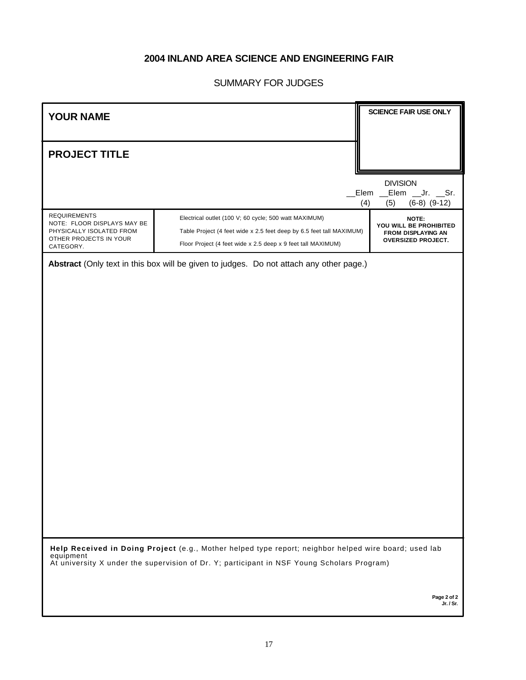# **2004 INLAND AREA SCIENCE AND ENGINEERING FAIR**

# SUMMARY FOR JUDGES

| <b>YOUR NAME</b>                                                                                                                                                                                                 |                                                                                                                                                                                                              | <b>SCIENCE FAIR USE ONLY</b>                                                              |  |  |
|------------------------------------------------------------------------------------------------------------------------------------------------------------------------------------------------------------------|--------------------------------------------------------------------------------------------------------------------------------------------------------------------------------------------------------------|-------------------------------------------------------------------------------------------|--|--|
| <b>PROJECT TITLE</b>                                                                                                                                                                                             |                                                                                                                                                                                                              |                                                                                           |  |  |
|                                                                                                                                                                                                                  |                                                                                                                                                                                                              | <b>DIVISION</b><br>Elem<br>__Elem __Jr. __Sr.<br>(4)<br>(5)<br>$(6-8)$ $(9-12)$           |  |  |
| <b>REQUIREMENTS</b><br>NOTE: FLOOR DISPLAYS MAY BE<br>PHYSICALLY ISOLATED FROM<br>OTHER PROJECTS IN YOUR<br>CATEGORY.                                                                                            | ÿ<br>Electrical outlet (100 V; 60 cycle; 500 watt MAXIMUM)<br>ÿ<br>Table Project (4 feet wide x 2.5 feet deep by 6.5 feet tall MAXIMUM)<br>ÿ<br>Floor Project (4 feet wide x 2.5 deep x 9 feet tall MAXIMUM) | NOTE:<br>YOU WILL BE PROHIBITED<br><b>FROM DISPLAYING AN</b><br><b>OVERSIZED PROJECT.</b> |  |  |
|                                                                                                                                                                                                                  | Abstract (Only text in this box will be given to judges. Do not attach any other page.)                                                                                                                      |                                                                                           |  |  |
|                                                                                                                                                                                                                  |                                                                                                                                                                                                              |                                                                                           |  |  |
|                                                                                                                                                                                                                  |                                                                                                                                                                                                              |                                                                                           |  |  |
|                                                                                                                                                                                                                  |                                                                                                                                                                                                              |                                                                                           |  |  |
|                                                                                                                                                                                                                  |                                                                                                                                                                                                              |                                                                                           |  |  |
|                                                                                                                                                                                                                  |                                                                                                                                                                                                              |                                                                                           |  |  |
|                                                                                                                                                                                                                  |                                                                                                                                                                                                              |                                                                                           |  |  |
|                                                                                                                                                                                                                  |                                                                                                                                                                                                              |                                                                                           |  |  |
| Help Received in Doing Project (e.g., Mother helped type report; neighbor helped wire board; used lab<br>equipment<br>At university X under the supervision of Dr. Y; participant in NSF Young Scholars Program) |                                                                                                                                                                                                              |                                                                                           |  |  |

**Page 2 of 2 Jr. / Sr.**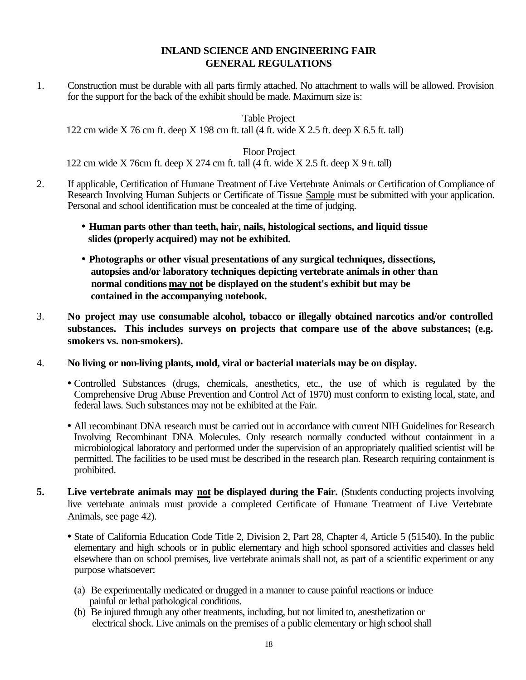## **INLAND SCIENCE AND ENGINEERING FAIR GENERAL REGULATIONS**

1. Construction must be durable with all parts firmly attached. No attachment to walls will be allowed. Provision for the support for the back of the exhibit should be made. Maximum size is:

Table Project

122 cm wide X 76 cm ft. deep X 198 cm ft. tall (4 ft. wide X 2.5 ft. deep X 6.5 ft. tall)

Floor Project

122 cm wide X 76cm ft. deep X 274 cm ft. tall (4 ft. wide X 2.5 ft. deep X 9 ft. tall)

- 2. If applicable, Certification of Humane Treatment of Live Vertebrate Animals or Certification of Compliance of Research Involving Human Subjects or Certificate of Tissue Sample must be submitted with your application. Personal and school identification must be concealed at the time of judging.
	- **· Human parts other than teeth, hair, nails, histological sections, and liquid tissue slides (properly acquired) may not be exhibited.**
	- **· Photographs or other visual presentations of any surgical techniques, dissections, autopsies and/or laboratory techniques depicting vertebrate animals in other than normal conditions may not be displayed on the student's exhibit but may be contained in the accompanying notebook.**
- 3. **No project may use consumable alcohol, tobacco or illegally obtained narcotics and/or controlled substances. This includes surveys on projects that compare use of the above substances; (e.g. smokers vs. non-smokers).**
- 4. **No living or non-living plants, mold, viral or bacterial materials may be on display.**
	- Controlled Substances (drugs, chemicals, anesthetics, etc., the use of which is regulated by the Comprehensive Drug Abuse Prevention and Control Act of 1970) must conform to existing local, state, and federal laws. Such substances may not be exhibited at the Fair.
	- All recombinant DNA research must be carried out in accordance with current NIH Guidelines for Research Involving Recombinant DNA Molecules. Only research normally conducted without containment in a microbiological laboratory and performed under the supervision of an appropriately qualified scientist will be permitted. The facilities to be used must be described in the research plan. Research requiring containment is prohibited.
- **5. Live vertebrate animals may not be displayed during the Fair.** (Students conducting projects involving live vertebrate animals must provide a completed Certificate of Humane Treatment of Live Vertebrate Animals, see page 42).
	- State of California Education Code Title 2, Division 2, Part 28, Chapter 4, Article 5 (51540). In the public elementary and high schools or in public elementary and high school sponsored activities and classes held elsewhere than on school premises, live vertebrate animals shall not, as part of a scientific experiment or any purpose whatsoever:
		- (a) Be experimentally medicated or drugged in a manner to cause painful reactions or induce painful or lethal pathological conditions.
		- (b) Be injured through any other treatments, including, but not limited to, anesthetization or electrical shock. Live animals on the premises of a public elementary or high school shall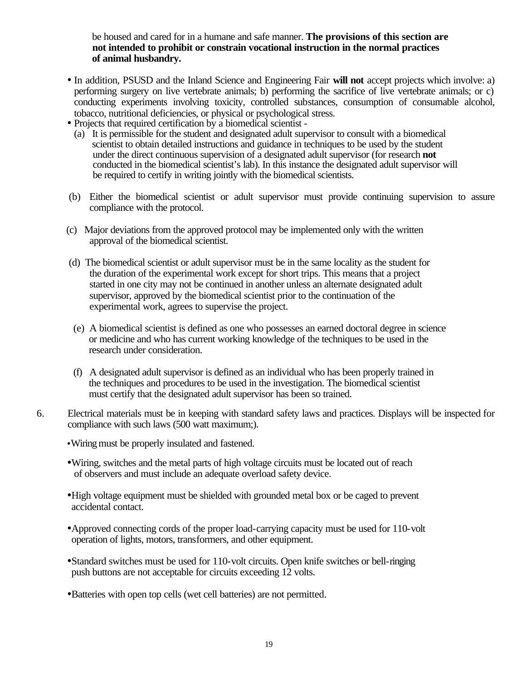be housed and cared for in a humane and safe manner. **The provisions of this section are not intended to prohibit or constrain vocational instruction in the normal practices of animal husbandry.**

- In addition, PSUSD and the Inland Science and Engineering Fair **will not** accept projects which involve: a) performing surgery on live vertebrate animals; b) performing the sacrifice of live vertebrate animals; or c) conducting experiments involving toxicity, controlled substances, consumption of consumable alcohol, tobacco, nutritional deficiencies, or physical or psychological stress.
- Projects that required certification by a biomedical scientist
	- (a) It is permissible for the student and designated adult supervisor to consult with a biomedical scientist to obtain detailed instructions and guidance in techniques to be used by the student under the direct continuous supervision of a designated adult supervisor (for research **not** conducted in the biomedical scientist's lab). In this instance the designated adult supervisor will be required to certify in writing jointly with the biomedical scientists.
- (b) Either the biomedical scientist or adult supervisor must provide continuing supervision to assure compliance with the protocol.
- (c) Major deviations from the approved protocol may be implemented only with the written approval of the biomedical scientist.
- (d) The biomedical scientist or adult supervisor must be in the same locality as the student for the duration of the experimental work except for short trips. This means that a project started in one city may not be continued in another unless an alternate designated adult supervisor, approved by the biomedical scientist prior to the continuation of the experimental work, agrees to supervise the project.
- (e) A biomedical scientist is defined as one who possesses an earned doctoral degree in science or medicine and who has current working knowledge of the techniques to be used in the research under consideration.
- (f) A designated adult supervisor is defined as an individual who has been properly trained in the techniques and procedures to be used in the investigation. The biomedical scientist must certify that the designated adult supervisor has been so trained.
- 6. Electrical materials must be in keeping with standard safety laws and practices. Displays will be inspected for compliance with such laws (500 watt maximum;).
	- **·**Wiringmust be properly insulated and fastened.
	- •Wiring, switches and the metal parts of high voltage circuits must be located out of reach of observers and must include an adequate overload safety device.
	- •High voltage equipment must be shielded with grounded metal box or be caged to prevent accidental contact.
	- •Approved connecting cords of the proper load-carrying capacity must be used for 110-volt operation of lights, motors, transformers, and other equipment.
	- •Standard switches must be used for 110-volt circuits. Open knife switches or bell-ringing push buttons are not acceptable for circuits exceeding 12 volts.
	- •Batteries with open top cells (wet cell batteries) are not permitted.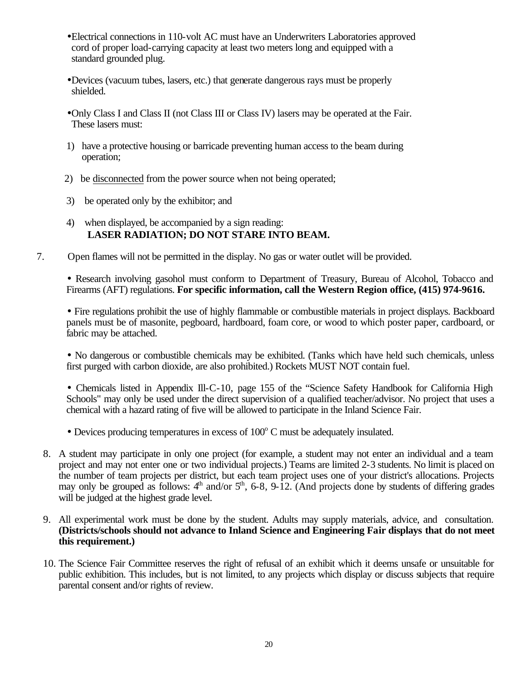- •Electrical connections in 110-volt AC must have an Underwriters Laboratories approved cord of proper load-carrying capacity at least two meters long and equipped with a standard grounded plug.
- •Devices (vacuum tubes, lasers, etc.) that generate dangerous rays must be properly shielded.
- •Only Class I and Class II (not Class III or Class IV) lasers may be operated at the Fair. These lasers must:
- 1) have a protective housing or barricade preventing human access to the beam during operation;
- 2) be disconnected from the power source when not being operated;
- 3) be operated only by the exhibitor; and
- 4) when displayed, be accompanied by a sign reading: **LASER RADIATION; DO NOT STARE INTO BEAM.**
- 7. Open flames will not be permitted in the display. No gas or water outlet will be provided.

• Research involving gasohol must conform to Department of Treasury, Bureau of Alcohol, Tobacco and Firearms (AFT) regulations. **For specific information, call the Western Region office, (415) 974-9616.**

• Fire regulations prohibit the use of highly flammable or combustible materials in project displays. Backboard panels must be of masonite, pegboard, hardboard, foam core, or wood to which poster paper, cardboard, or fabric may be attached.

• No dangerous or combustible chemicals may be exhibited. (Tanks which have held such chemicals, unless first purged with carbon dioxide, are also prohibited.) Rockets MUST NOT contain fuel.

• Chemicals listed in Appendix Ill-C-10, page 155 of the "Science Safety Handbook for California High Schools" may only be used under the direct supervision of a qualified teacher/advisor. No project that uses a chemical with a hazard rating of five will be allowed to participate in the Inland Science Fair.

- $\bullet$  Devices producing temperatures in excess of  $100^{\circ}$  C must be adequately insulated.
- 8. A student may participate in only one project (for example, a student may not enter an individual and a team project and may not enter one or two individual projects.) Teams are limited 2-3 students. No limit is placed on the number of team projects per district, but each team project uses one of your district's allocations. Projects may only be grouped as follows:  $4<sup>th</sup>$  and/or  $5<sup>th</sup>$ , 6-8, 9-12. (And projects done by students of differing grades will be judged at the highest grade level.
- 9. All experimental work must be done by the student. Adults may supply materials, advice, and consultation. **(Districts/schools should not advance to Inland Science and Engineering Fair displays that do not meet this requirement.)**
- 10. The Science Fair Committee reserves the right of refusal of an exhibit which it deems unsafe or unsuitable for public exhibition. This includes, but is not limited, to any projects which display or discuss subjects that require parental consent and/or rights of review.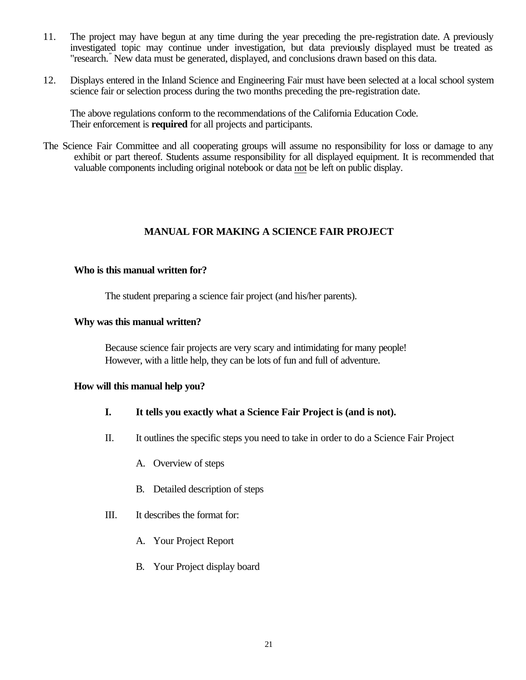- 11. The project may have begun at any time during the year preceding the pre-registration date. A previously investigated topic may continue under investigation, but data previously displayed must be treated as "research." New data must be generated, displayed, and conclusions drawn based on this data.
- 12. Displays entered in the Inland Science and Engineering Fair must have been selected at a local school system science fair or selection process during the two months preceding the pre-registration date.

The above regulations conform to the recommendations of the California Education Code. Their enforcement is **required** for all projects and participants.

The Science Fair Committee and all cooperating groups will assume no responsibility for loss or damage to any exhibit or part thereof. Students assume responsibility for all displayed equipment. It is recommended that valuable components including original notebook or data not be left on public display.

#### **MANUAL FOR MAKING A SCIENCE FAIR PROJECT**

#### **Who is this manual written for?**

The student preparing a science fair project (and his/her parents).

#### **Why was this manual written?**

Because science fair projects are very scary and intimidating for many people! However, with a little help, they can be lots of fun and full of adventure.

#### **How will this manual help you?**

- **I. It tells you exactly what a Science Fair Project is (and is not).**
- II. It outlines the specific steps you need to take in order to do a Science Fair Project
	- A. Overview of steps
	- B. Detailed description of steps
- III. It describes the format for:
	- A. Your Project Report
	- B. Your Project display board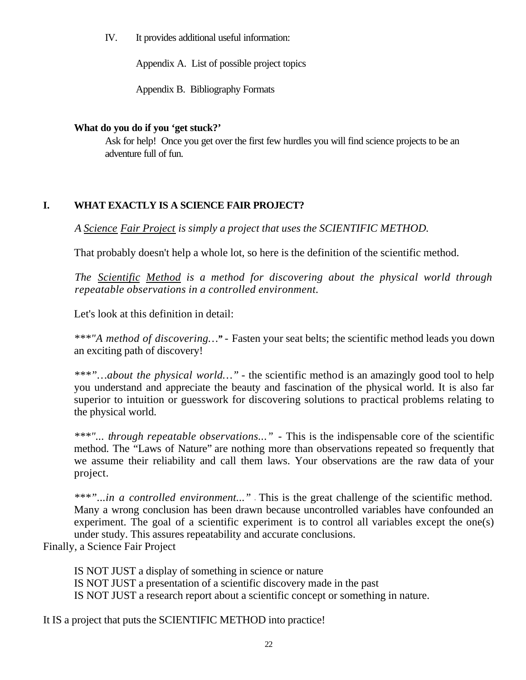IV. It provides additional useful information:

Appendix A. List of possible project topics

Appendix B. Bibliography Formats

#### **What do you do if you 'get stuck?'**

Ask for help! Once you get over the first few hurdles you will find science projects to be an adventure full of fun.

# **I. WHAT EXACTLY IS A SCIENCE FAIR PROJECT?**

*A Science Fair Project is simply a project that uses the SCIENTIFIC METHOD.*

That probably doesn't help a whole lot, so here is the definition of the scientific method.

*The Scientific Method is a method for discovering about the physical world through repeatable observations in a controlled environment.*

Let's look at this definition in detail:

*\*\*\*"A method of discovering…" -* Fasten your seat belts; the scientific method leads you down an exciting path of discovery!

*\*\*\*"…about the physical world…" -* the scientific method is an amazingly good tool to help you understand and appreciate the beauty and fascination of the physical world. It is also far superior to intuition or guesswork for discovering solutions to practical problems relating to the physical world.

*\*\*\*"... through repeatable observations..." -* This is the indispensable core of the scientific method. The "Laws of Nature" are nothing more than observations repeated so frequently that we assume their reliability and call them laws. Your observations are the raw data of your project.

*\*\*\*"...in a controlled environment..." -* This is the great challenge of the scientific method. Many a wrong conclusion has been drawn because uncontrolled variables have confounded an experiment. The goal of a scientific experiment is to control all variables except the one(s) under study. This assures repeatability and accurate conclusions.

Finally, a Science Fair Project

IS NOT JUST a display of something in science or nature IS NOT JUST a presentation of a scientific discovery made in the past IS NOT JUST a research report about a scientific concept or something in nature.

It IS a project that puts the SCIENTIFIC METHOD into practice!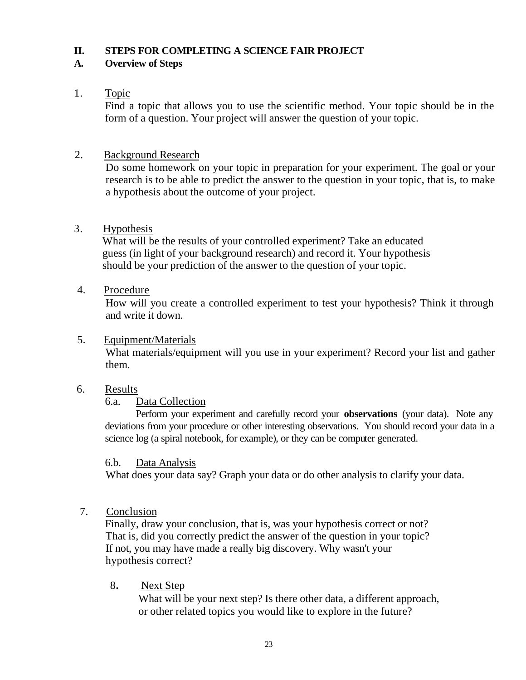#### **II. STEPS FOR COMPLETING A SCIENCE FAIR PROJECT**

## **A. Overview of Steps**

# 1. Topic

Find a topic that allows you to use the scientific method. Your topic should be in the form of a question. Your project will answer the question of your topic.

# 2. Background Research

Do some homework on your topic in preparation for your experiment. The goal or your research is to be able to predict the answer to the question in your topic, that is, to make a hypothesis about the outcome of your project.

# 3. Hypothesis

 What will be the results of your controlled experiment? Take an educated guess (in light of your background research) and record it. Your hypothesis should be your prediction of the answer to the question of your topic.

## 4. Procedure

How will you create a controlled experiment to test your hypothesis? Think it through and write it down.

## 5. Equipment/Materials

What materials/equipment will you use in your experiment? Record your list and gather them.

## 6. Results

## 6.a. Data Collection

Perform your experiment and carefully record your **observations** (your data). Note any deviations from your procedure or other interesting observations. You should record your data in a science log (a spiral notebook, for example), or they can be computer generated.

## 6.b. Data Analysis

What does your data say? Graph your data or do other analysis to clarify your data.

# 7. Conclusion

 Finally, draw your conclusion, that is, was your hypothesis correct or not? That is, did you correctly predict the answer of the question in your topic? If not, you may have made a really big discovery. Why wasn't your hypothesis correct?

## 8**.** Next Step

 What will be your next step? Is there other data, a different approach, or other related topics you would like to explore in the future?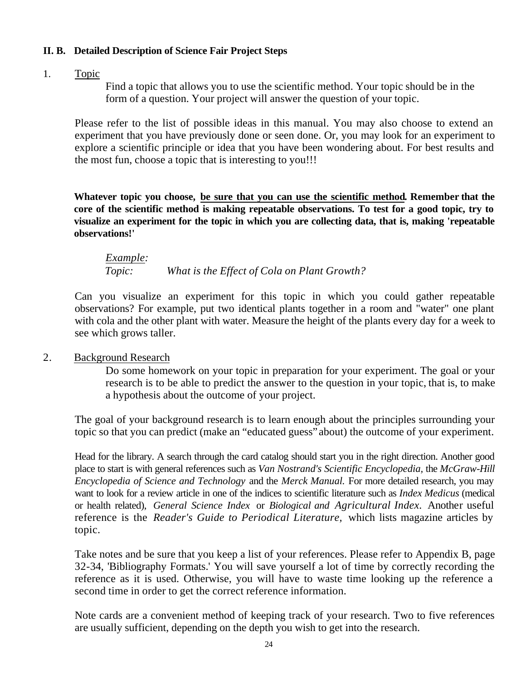## **II. B. Detailed Description of Science Fair Project Steps**

# 1. Topic

Find a topic that allows you to use the scientific method. Your topic should be in the form of a question. Your project will answer the question of your topic.

Please refer to the list of possible ideas in this manual. You may also choose to extend an experiment that you have previously done or seen done. Or, you may look for an experiment to explore a scientific principle or idea that you have been wondering about. For best results and the most fun, choose a topic that is interesting to you!!!

**Whatever topic you choose, be sure that you can use the scientific method. Remember that the core of the scientific method is making repeatable observations. To test for a good topic, try to visualize an experiment for the topic in which you are collecting data, that is, making 'repeatable observations!'**

*Example: Topic: What is the Effect of Cola on Plant Growth?*

Can you visualize an experiment for this topic in which you could gather repeatable observations? For example, put two identical plants together in a room and "water" one plant with cola and the other plant with water. Measure the height of the plants every day for a week to see which grows taller.

## 2. Background Research

Do some homework on your topic in preparation for your experiment. The goal or your research is to be able to predict the answer to the question in your topic, that is, to make a hypothesis about the outcome of your project.

The goal of your background research is to learn enough about the principles surrounding your topic so that you can predict (make an "educated guess" about) the outcome of your experiment.

Head for the library. A search through the card catalog should start you in the right direction. Another good place to start is with general references such as *Van Nostrand's Scientific Encyclopedia,* the *McGraw-Hill Encyclopedia of Science and Technology* and the *Merck Manual.* For more detailed research, you may want to look for a review article in one of the indices to scientific literature such as *Index Medicus* (medical or health related), *General Science Index* or *Biological and Agricultural Index.* Another useful reference is the *Reader's Guide to Periodical Literature,* which lists magazine articles by topic.

Take notes and be sure that you keep a list of your references. Please refer to Appendix B, page 32-34, 'Bibliography Formats.' You will save yourself a lot of time by correctly recording the reference as it is used. Otherwise, you will have to waste time looking up the reference a second time in order to get the correct reference information.

Note cards are a convenient method of keeping track of your research. Two to five references are usually sufficient, depending on the depth you wish to get into the research.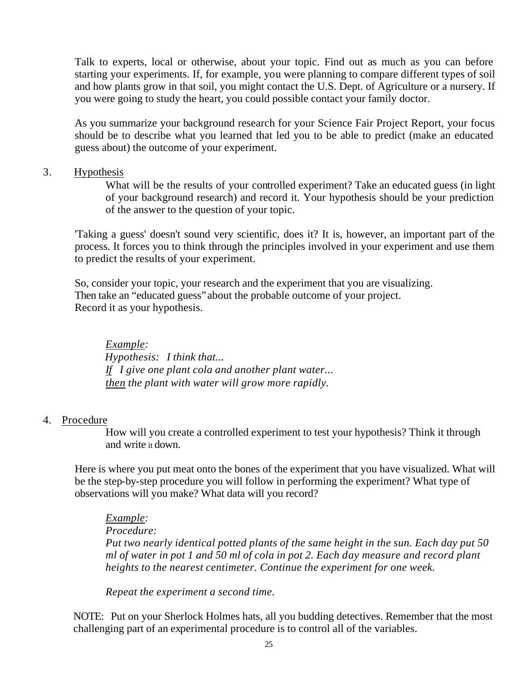Talk to experts, local or otherwise, about your topic. Find out as much as you can before starting your experiments. If, for example, you were planning to compare different types of soil and how plants grow in that soil, you might contact the U.S. Dept. of Agriculture or a nursery. If you were going to study the heart, you could possible contact your family doctor.

As you summarize your background research for your Science Fair Project Report, your focus should be to describe what you learned that led you to be able to predict (make an educated guess about) the outcome of your experiment.

#### 3. Hypothesis

What will be the results of your controlled experiment? Take an educated guess (in light of your background research) and record it. Your hypothesis should be your prediction of the answer to the question of your topic.

'Taking a guess' doesn't sound very scientific, does it? It is, however, an important part of the process. It forces you to think through the principles involved in your experiment and use them to predict the results of your experiment.

So, consider your topic, your research and the experiment that you are visualizing. Then take an "educated guess"about the probable outcome of your project. Record it as your hypothesis.

*Example: Hypothesis: I think that... If I give one plant cola and another plant water... then the plant with water will grow more rapidly.*

## 4. Procedure

How will you create a controlled experiment to test your hypothesis? Think it through and write it down.

Here is where you put meat onto the bones of the experiment that you have visualized. What will be the step-by-step procedure you will follow in performing the experiment? What type of observations will you make? What data will you record?

*Example:*

*Procedure:*

*Put two nearly identical potted plants of the same height in the sun. Each day put 50 ml of water in pot 1 and 50 ml of cola in pot 2. Each day measure and record plant heights to the nearest centimeter. Continue the experiment for one week.*

*Repeat the experiment a second time.*

NOTE: Put on your Sherlock Holmes hats, all you budding detectives. Remember that the most challenging part of an experimental procedure is to control all of the variables.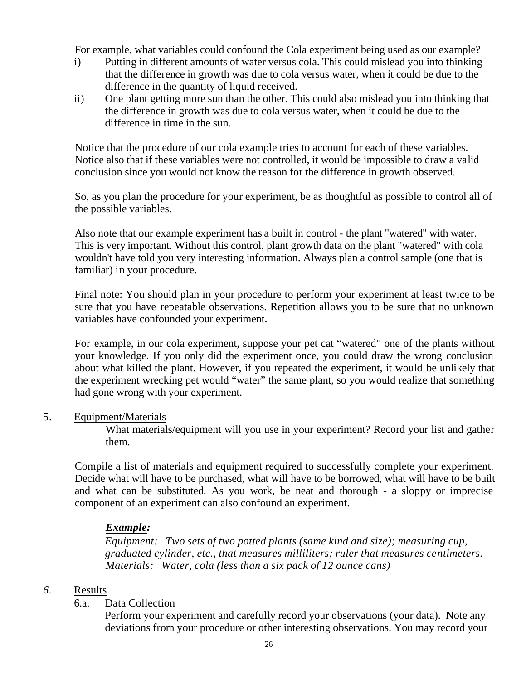For example, what variables could confound the Cola experiment being used as our example?

- i) Putting in different amounts of water versus cola. This could mislead you into thinking that the difference in growth was due to cola versus water, when it could be due to the difference in the quantity of liquid received.
- ii) One plant getting more sun than the other. This could also mislead you into thinking that the difference in growth was due to cola versus water, when it could be due to the difference in time in the sun.

Notice that the procedure of our cola example tries to account for each of these variables. Notice also that if these variables were not controlled, it would be impossible to draw a valid conclusion since you would not know the reason for the difference in growth observed.

So, as you plan the procedure for your experiment, be as thoughtful as possible to control all of the possible variables.

Also note that our example experiment has a built in control - the plant "watered" with water. This is very important. Without this control, plant growth data on the plant "watered" with cola wouldn't have told you very interesting information. Always plan a control sample (one that is familiar) in your procedure.

Final note: You should plan in your procedure to perform your experiment at least twice to be sure that you have repeatable observations. Repetition allows you to be sure that no unknown variables have confounded your experiment.

For example, in our cola experiment, suppose your pet cat "watered" one of the plants without your knowledge. If you only did the experiment once, you could draw the wrong conclusion about what killed the plant. However, if you repeated the experiment, it would be unlikely that the experiment wrecking pet would "water" the same plant, so you would realize that something had gone wrong with your experiment.

# 5. Equipment/Materials

What materials/equipment will you use in your experiment? Record your list and gather them.

Compile a list of materials and equipment required to successfully complete your experiment. Decide what will have to be purchased, what will have to be borrowed, what will have to be built and what can be substituted. As you work, be neat and thorough - a sloppy or imprecise component of an experiment can also confound an experiment.

# *Example:*

*Equipment: Two sets of two potted plants (same kind and size); measuring cup, graduated cylinder, etc., that measures milliliters; ruler that measures centimeters. Materials: Water, cola (less than a six pack of 12 ounce cans)*

# *6.* Results

## 6.a. Data Collection

Perform your experiment and carefully record your observations (your data). Note any deviations from your procedure or other interesting observations. You may record your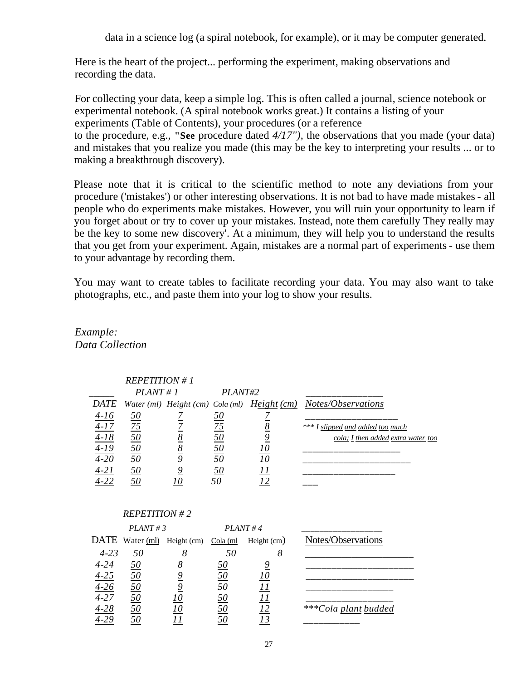data in a science log (a spiral notebook, for example), or it may be computer generated.

Here is the heart of the project... performing the experiment, making observations and recording the data.

For collecting your data, keep a simple log. This is often called a journal, science notebook or experimental notebook. (A spiral notebook works great.) It contains a listing of your experiments (Table of Contents), your procedures (or a reference to the procedure, e.g., **"See** procedure dated *4/17"),* the observations that you made (your data) and mistakes that you realize you made (this may be the key to interpreting your results ... or to making a breakthrough discovery).

Please note that it is critical to the scientific method to note any deviations from your procedure ('mistakes') or other interesting observations. It is not bad to have made mistakes - all people who do experiments make mistakes. However, you will ruin your opportunity to learn if you forget about or try to cover up your mistakes. Instead, note them carefully They really may be the key to some new discovery'. At a minimum, they will help you to understand the results that you get from your experiment. Again, mistakes are a normal part of experiments - use them to your advantage by recording them.

You may want to create tables to facilitate recording your data. You may also want to take photographs, etc., and paste them into your log to show your results.

# *REPETITION # 1*  *\_\_\_\_\_ PLANT # 1 PLANT#2 \_\_\_\_\_\_\_\_\_\_\_\_\_\_\_ DATE Water (ml) Height (cm) Cola (ml) Height (cm) Notes/Observations 4-16 50 7 50 7 \_\_\_\_\_\_\_\_\_\_\_\_\_\_\_\_\_\_*  $\frac{4-16}{4-17}$   $\frac{50}{75}$   $\frac{7}{2}$   $\frac{75}{75}$   $\frac{8}{8}$   $\frac{50}{50}$   $\frac{8}{50}$   $\frac{50}{8}$   $\frac{8}{50}$   $\frac{7}{9}$   $\frac{8}{50}$   $\frac{10}{2}$   $\frac{10}{2}$   $\frac{10}{2}$   $\frac{11}{2}$   $\frac{11}{2}$   $\frac{11}{2}$   $\frac{11}{2}$   $\frac{11}{2}$   $\frac{11}{$ *4-18 50 8 50 9 cola; I then added extra water too 4-19 50 8 50 10 \_\_\_\_\_\_\_\_\_\_\_\_\_\_\_\_\_\_\_ 4-20 50 9 50 10 \_\_\_\_\_\_\_\_\_\_\_\_\_\_\_\_\_\_\_\_\_ 4-21 50 9 50 11 \_\_\_\_\_\_\_\_\_\_\_\_\_\_\_\_\_\_ 4-22 50 10 50 12 \_\_\_ REPETITION # 2 PLANT # 3*  $PLANT # 4$ DATE Water (ml) Height (cm) Cola (ml Height (cm) Notes/Observations  *4-23 50 8 50 8* \_\_\_\_\_\_\_\_\_\_\_\_\_\_\_\_\_\_\_\_\_ *4-24 50 8 50 9 \_\_\_\_\_\_\_\_\_\_\_\_\_\_\_\_\_\_\_\_\_ 4-25 50 9 50 10 \_\_\_\_\_\_\_\_\_\_\_\_\_\_\_\_\_\_\_\_\_ 4-26 50 9 50 11 \_\_\_\_\_\_\_\_\_\_\_\_\_\_\_\_\_ 4-27 50 10 50 11 \_\_\_\_\_\_\_\_\_\_\_\_\_\_\_\_\_*  $\frac{4-25}{4-26}$   $\frac{50}{50}$   $\frac{9}{50}$   $\frac{50}{50}$   $\frac{10}{50}$   $\frac{50}{50}$   $\frac{11}{11}$   $\frac{50}{50}$   $\frac{11}{12}$   $\frac{50}{11}$   $\frac{12}{13}$   $\frac{12}{13}$   $\frac{12}{13}$   $\frac{13}{13}$   $\frac{13}{13}$   $\frac{13}{13}$   $\frac{13}{13}$   $\frac{13}{13}$   $\$ *4-29 50 11 50 13 \_\_\_\_\_\_\_\_\_\_\_*

*Example:*

*Data Collection*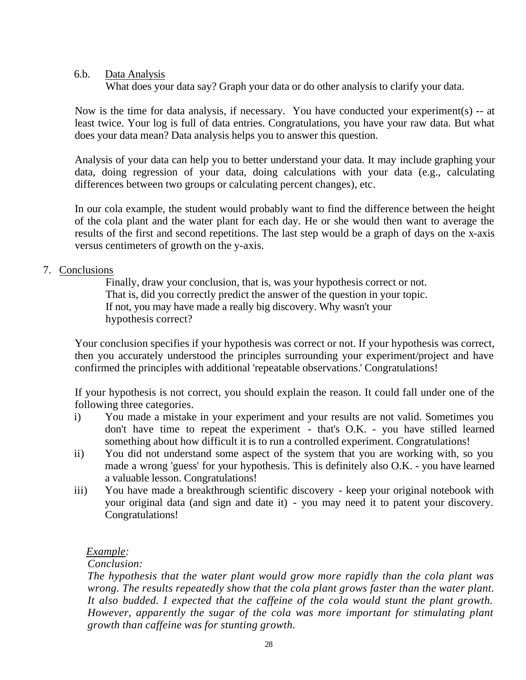## 6.b. Data Analysis

What does your data say? Graph your data or do other analysis to clarify your data.

Now is the time for data analysis, if necessary. You have conducted your experiment(s) -- at least twice. Your log is full of data entries. Congratulations, you have your raw data. But what does your data mean? Data analysis helps you to answer this question.

Analysis of your data can help you to better understand your data. It may include graphing your data, doing regression of your data, doing calculations with your data (e.g., calculating differences between two groups or calculating percent changes), etc.

In our cola example, the student would probably want to find the difference between the height of the cola plant and the water plant for each day. He or she would then want to average the results of the first and second repetitions. The last step would be a graph of days on the x-axis versus centimeters of growth on the y-axis.

# 7. Conclusions

Finally, draw your conclusion, that is, was your hypothesis correct or not. That is, did you correctly predict the answer of the question in your topic. If not, you may have made a really big discovery. Why wasn't your hypothesis correct?

Your conclusion specifies if your hypothesis was correct or not. If your hypothesis was correct, then you accurately understood the principles surrounding your experiment/project and have confirmed the principles with additional 'repeatable observations.' Congratulations!

If your hypothesis is not correct, you should explain the reason. It could fall under one of the following three categories.

- i) You made a mistake in your experiment and your results are not valid. Sometimes you don't have time to repeat the experiment - that's O.K. - you have stilled learned something about how difficult it is to run a controlled experiment. Congratulations!
- ii) You did not understand some aspect of the system that you are working with, so you made a wrong 'guess' for your hypothesis. This is definitely also O.K. - you have learned a valuable lesson. Congratulations!
- iii) You have made a breakthrough scientific discovery keep your original notebook with your original data (and sign and date it) - you may need it to patent your discovery. Congratulations!

# *Example:*

## *Conclusion:*

*The hypothesis that the water plant would grow more rapidly than the cola plant was wrong. The results repeatedly show that the cola plant grows faster than the water plant. It also budded. I expected that the caffeine of the cola would stunt the plant growth. However, apparently the sugar of the cola was more important for stimulating plant growth than caffeine was for stunting growth.*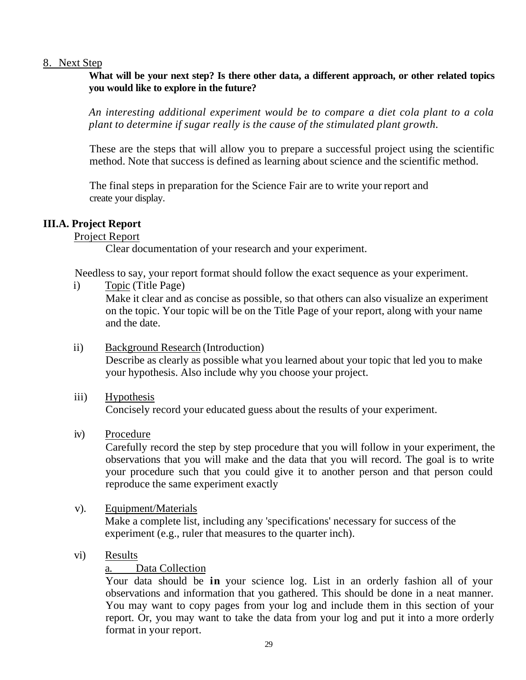#### 8. Next Step

**What will be your next step? Is there other data, a different approach, or other related topics you would like to explore in the future?**

*An interesting additional experiment would be to compare a diet cola plant to a cola plant to determine if sugar really is the cause of the stimulated plant growth.*

These are the steps that will allow you to prepare a successful project using the scientific method. Note that success is defined as learning about science and the scientific method.

The final steps in preparation for the Science Fair are to write your report and create your display.

## **III.A. Project Report**

Project Report

Clear documentation of your research and your experiment.

Needless to say, your report format should follow the exact sequence as your experiment.

- i) Topic (Title Page) Make it clear and as concise as possible, so that others can also visualize an experiment on the topic. Your topic will be on the Title Page of your report, along with your name and the date.
- ii) Background Research (Introduction) Describe as clearly as possible what you learned about your topic that led you to make your hypothesis. Also include why you choose your project.
- iii) Hypothesis Concisely record your educated guess about the results of your experiment.
- iv) Procedure

Carefully record the step by step procedure that you will follow in your experiment, the observations that you will make and the data that you will record. The goal is to write your procedure such that you could give it to another person and that person could reproduce the same experiment exactly

v). Equipment/Materials

Make a complete list, including any 'specifications' necessary for success of the experiment (e.g., ruler that measures to the quarter inch).

vi) Results

## a. Data Collection

Your data should be **in** your science log. List in an orderly fashion all of your observations and information that you gathered. This should be done in a neat manner. You may want to copy pages from your log and include them in this section of your report. Or, you may want to take the data from your log and put it into a more orderly format in your report.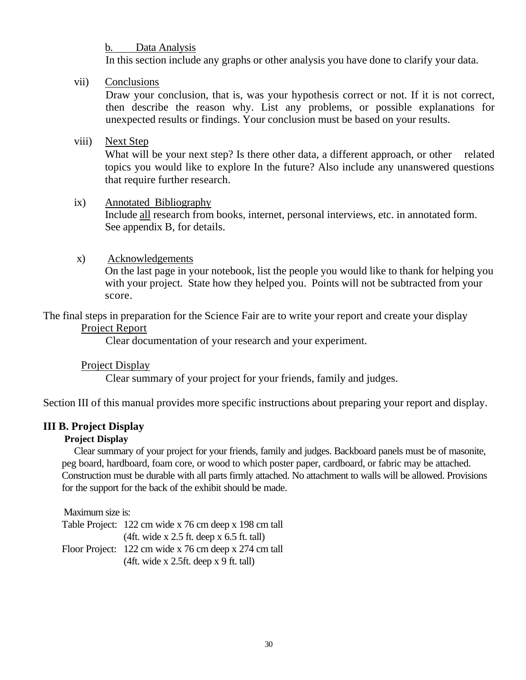## b. Data Analysis

In this section include any graphs or other analysis you have done to clarify your data.

## vii) Conclusions

Draw your conclusion, that is, was your hypothesis correct or not. If it is not correct, then describe the reason why. List any problems, or possible explanations for unexpected results or findings. Your conclusion must be based on your results.

#### viii) Next Step

What will be your next step? Is there other data, a different approach, or other related topics you would like to explore In the future? Also include any unanswered questions that require further research.

#### ix) Annotated Bibliography

Include all research from books, internet, personal interviews, etc. in annotated form. See appendix B, for details.

#### x) Acknowledgements

On the last page in your notebook, list the people you would like to thank for helping you with your project. State how they helped you. Points will not be subtracted from your score.

The final steps in preparation for the Science Fair are to write your report and create your display Project Report

Clear documentation of your research and your experiment.

## Project Display

Clear summary of your project for your friends, family and judges.

Section III of this manual provides more specific instructions about preparing your report and display.

## **III B. Project Display**

#### **Project Display**

Clear summary of your project for your friends, family and judges. Backboard panels must be of masonite, peg board, hardboard, foam core, or wood to which poster paper, cardboard, or fabric may be attached. Construction must be durable with all parts firmly attached. No attachment to walls will be allowed. Provisions for the support for the back of the exhibit should be made.

Maximum size is:

Table Project: 122 cm wide x 76 cm deep x 198 cm tall (4ft. wide x 2.5 ft. deep x 6.5 ft. tall) Floor Project: 122 cm wide x 76 cm deep x 274 cm tall (4ft. wide x 2.5ft. deep x 9 ft. tall)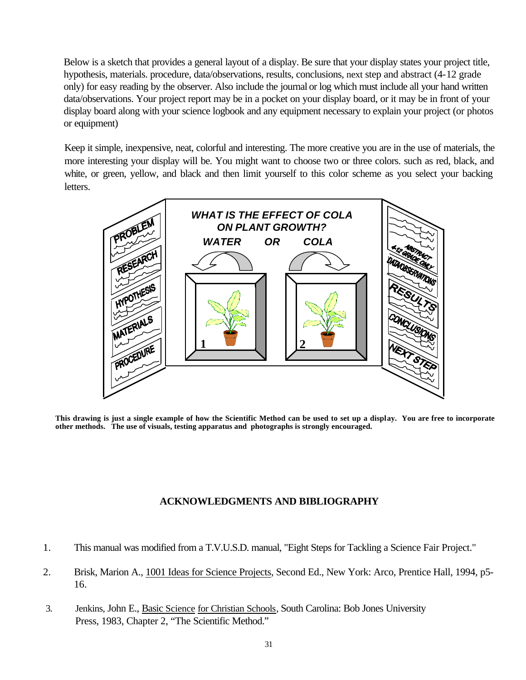Below is a sketch that provides a general layout of a display. Be sure that your display states your project title, hypothesis, materials. procedure, data/observations, results, conclusions, next step and abstract (4-12 grade only) for easy reading by the observer. Also include the journal or log which must include all your hand written data/observations. Your project report may be in a pocket on your display board, or it may be in front of your display board along with your science logbook and any equipment necessary to explain your project (or photos or equipment)

Keep it simple, inexpensive, neat, colorful and interesting. The more creative you are in the use of materials, the more interesting your display will be. You might want to choose two or three colors. such as red, black, and white, or green, yellow, and black and then limit yourself to this color scheme as you select your backing letters.



**This drawing is just a single example of how the Scientific Method can be used to set up a display. You are free to incorporate other methods. The use of visuals, testing apparatus and photographs is strongly encouraged.**

#### **ACKNOWLEDGMENTS AND BIBLIOGRAPHY**

- 1. This manual was modified from a T.V.U.S.D. manual, "Eight Steps for Tackling a Science Fair Project."
- 2. Brisk, Marion A., 1001 Ideas for Science Projects, Second Ed., New York: Arco, Prentice Hall, 1994, p5- 16.
- 3. Jenkins, John E., Basic Science for Christian Schools, South Carolina: Bob Jones University Press, 1983, Chapter 2, "The Scientific Method."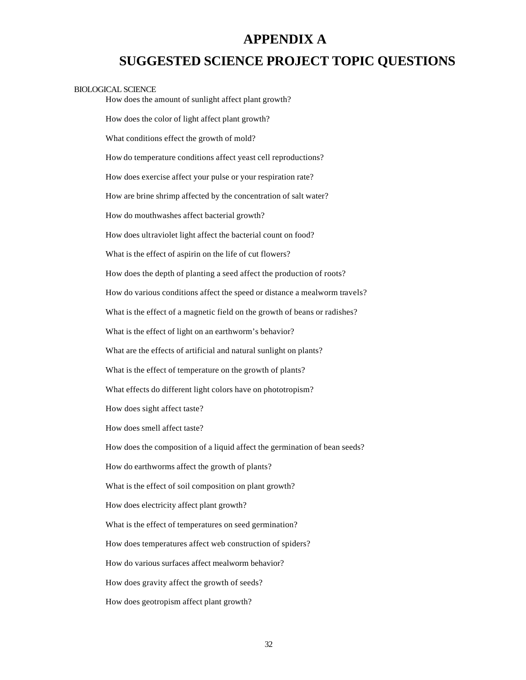# **APPENDIX A**

# **SUGGESTED SCIENCE PROJECT TOPIC QUESTIONS**

#### BIOLOGICAL SCIENCE

How does the amount of sunlight affect plant growth?

How does the color of light affect plant growth?

What conditions effect the growth of mold?

How do temperature conditions affect yeast cell reproductions?

How does exercise affect your pulse or your respiration rate?

How are brine shrimp affected by the concentration of salt water?

How do mouthwashes affect bacterial growth?

How does ultraviolet light affect the bacterial count on food?

What is the effect of aspirin on the life of cut flowers?

How does the depth of planting a seed affect the production of roots?

How do various conditions affect the speed or distance a mealworm travels?

What is the effect of a magnetic field on the growth of beans or radishes?

What is the effect of light on an earthworm's behavior?

What are the effects of artificial and natural sunlight on plants?

What is the effect of temperature on the growth of plants?

What effects do different light colors have on phototropism?

How does sight affect taste?

How does smell affect taste?

How does the composition of a liquid affect the germination of bean seeds?

How do earthworms affect the growth of plants?

What is the effect of soil composition on plant growth?

How does electricity affect plant growth?

What is the effect of temperatures on seed germination?

How does temperatures affect web construction of spiders?

How do various surfaces affect mealworm behavior?

How does gravity affect the growth of seeds?

How does geotropism affect plant growth?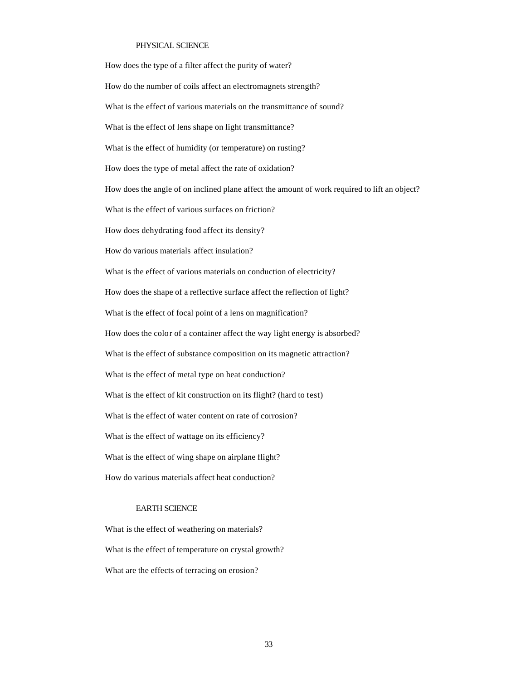#### PHYSICAL SCIENCE

How does the type of a filter affect the purity of water? How do the number of coils affect an electromagnets strength? What is the effect of various materials on the transmittance of sound? What is the effect of lens shape on light transmittance? What is the effect of humidity (or temperature) on rusting? How does the type of metal affect the rate of oxidation? How does the angle of on inclined plane affect the amount of work required to lift an object? What is the effect of various surfaces on friction? How does dehydrating food affect its density? How do various materials affect insulation? What is the effect of various materials on conduction of electricity? How does the shape of a reflective surface affect the reflection of light? What is the effect of focal point of a lens on magnification? How does the color of a container affect the way light energy is absorbed? What is the effect of substance composition on its magnetic attraction? What is the effect of metal type on heat conduction? What is the effect of kit construction on its flight? (hard to test) What is the effect of water content on rate of corrosion? What is the effect of wattage on its efficiency? What is the effect of wing shape on airplane flight? How do various materials affect heat conduction?

#### EARTH SCIENCE

What is the effect of weathering on materials? What is the effect of temperature on crystal growth? What are the effects of terracing on erosion?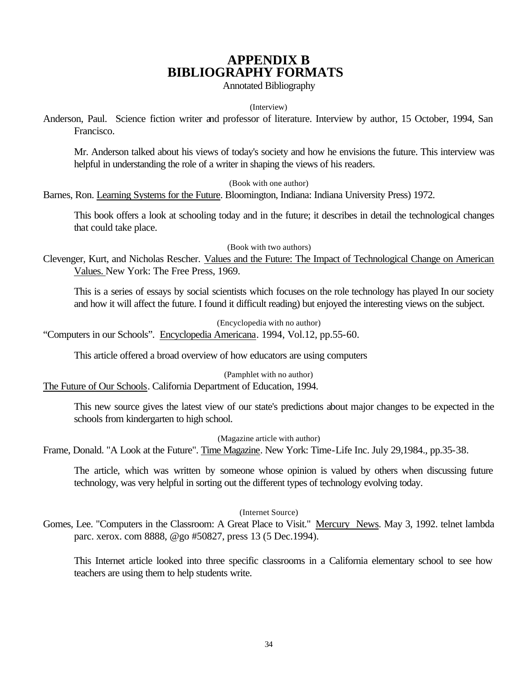# **APPENDIX B BIBLIOGRAPHY FORMATS**

Annotated Bibliography

#### (Interview)

Anderson, Paul. Science fiction writer and professor of literature. Interview by author, 15 October, 1994, San Francisco.

Mr. Anderson talked about his views of today's society and how he envisions the future. This interview was helpful in understanding the role of a writer in shaping the views of his readers.

(Book with one author)

Barnes, Ron. Learning Systems for the Future. Bloomington, Indiana: Indiana University Press) 1972.

This book offers a look at schooling today and in the future; it describes in detail the technological changes that could take place.

(Book with two authors)

Clevenger, Kurt, and Nicholas Rescher. Values and the Future: The Impact of Technological Change on American Values. New York: The Free Press, 1969.

This is a series of essays by social scientists which focuses on the role technology has played In our society and how it will affect the future. I found it difficult reading) but enjoyed the interesting views on the subject.

(Encyclopedia with no author)

"Computers in our Schools". Encyclopedia Americana. 1994, Vol.12, pp.55-60.

This article offered a broad overview of how educators are using computers

(Pamphlet with no author)

The Future of Our Schools. California Department of Education, 1994.

This new source gives the latest view of our state's predictions about major changes to be expected in the schools from kindergarten to high school.

(Magazine article with author)

Frame, Donald. "A Look at the Future". Time Magazine. New York: Time-Life Inc. July 29,1984., pp.35-38.

The article, which was written by someone whose opinion is valued by others when discussing future technology, was very helpful in sorting out the different types of technology evolving today.

#### (Internet Source)

Gomes, Lee. "Computers in the Classroom: A Great Place to Visit." Mercury News. May 3, 1992. telnet lambda parc. xerox. com 8888, @go #50827, press 13 (5 Dec.1994).

This Internet article looked into three specific classrooms in a California elementary school to see how teachers are using them to help students write.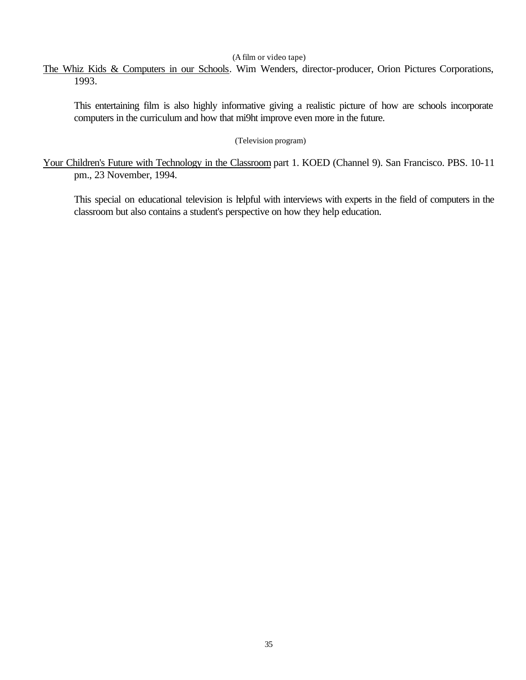#### (A film or video tape)

The Whiz Kids & Computers in our Schools. Wim Wenders, director-producer, Orion Pictures Corporations, 1993.

This entertaining film is also highly informative giving a realistic picture of how are schools incorporate computers in the curriculum and how that mi9ht improve even more in the future.

#### (Television program)

Your Children's Future with Technology in the Classroom part 1. KOED (Channel 9). San Francisco. PBS. 10-11 pm., 23 November, 1994.

This special on educational television is helpful with interviews with experts in the field of computers in the classroom but also contains a student's perspective on how they help education.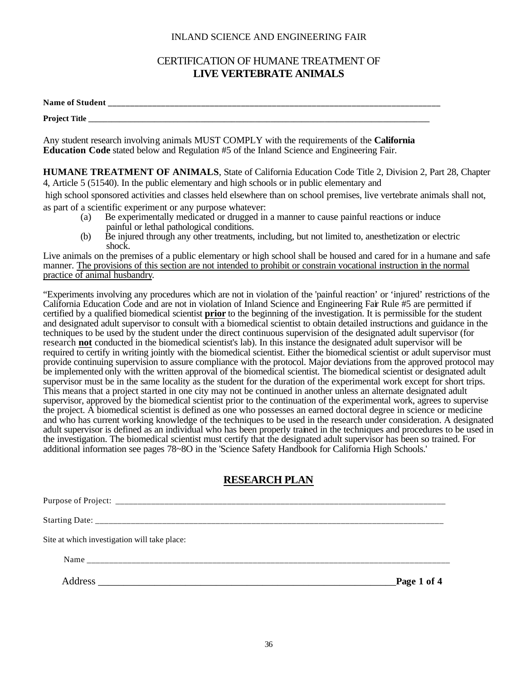#### INLAND SCIENCE AND ENGINEERING FAIR

## CERTIFICATION OF HUMANE TREATMENT OF **LIVE VERTEBRATE ANIMALS**

**Name of Student \_\_\_\_\_\_\_\_\_\_\_\_\_\_\_\_\_\_\_\_\_\_\_\_\_\_\_\_\_\_\_\_\_\_\_\_\_\_\_\_\_\_\_\_\_\_\_\_\_\_\_\_\_\_\_\_\_\_\_\_\_\_\_\_\_\_\_\_\_\_\_\_\_\_\_**

Project Title

Any student research involving animals MUST COMPLY with the requirements of the **California Education Code** stated below and Regulation #5 of the Inland Science and Engineering Fair.

**HUMANE TREATMENT OF ANIMALS**, State of California Education Code Title 2, Division 2, Part 28, Chapter 4, Article 5 (51540). In the public elementary and high schools or in public elementary and

 high school sponsored activities and classes held elsewhere than on school premises, live vertebrate animals shall not, as part of a scientific experiment or any purpose whatever:

- (a) Be experimentally medicated or drugged in a manner to cause painful reactions or induce painful or lethal pathological conditions.
- (b) Be injured through any other treatments, including, but not limited to, anesthetization or electric shock.

Live animals on the premises of a public elementary or high school shall be housed and cared for in a humane and safe manner. The provisions of this section are not intended to prohibit or constrain vocational instruction in the normal practice of animal husbandry.

"Experiments involving any procedures which are not in violation of the 'painful reaction' or 'injured' restrictions of the California Education Code and are not in violation of Inland Science and Engineering Fair Rule #5 are permitted if certified by a qualified biomedical scientist **prior** to the beginning of the investigation. It is permissible for the student and designated adult supervisor to consult with a biomedical scientist to obtain detailed instructions and guidance in the techniques to be used by the student under the direct continuous supervision of the designated adult supervisor (for research **not** conducted in the biomedical scientist's lab). In this instance the designated adult supervisor will be required to certify in writing jointly with the biomedical scientist. Either the biomedical scientist or adult supervisor must provide continuing supervision to assure compliance with the protocol. Major deviations from the approved protocol may be implemented only with the written approval of the biomedical scientist. The biomedical scientist or designated adult supervisor must be in the same locality as the student for the duration of the experimental work except for short trips. This means that a project started in one city may not be continued in another unless an alternate designated adult supervisor, approved by the biomedical scientist prior to the continuation of the experimental work, agrees to supervise the project. A biomedical scientist is defined as one who possesses an earned doctoral degree in science or medicine and who has current working knowledge of the techniques to be used in the research under consideration. A designated adult supervisor is defined as an individual who has been properly trained in the techniques and procedures to be used in the investigation. The biomedical scientist must certify that the designated adult supervisor has been so trained. For additional information see pages 78~8O in the 'Science Safety Handbook for California High Schools.'

# **RESEARCH PLAN**

| Site at which investigation will take place: |             |
|----------------------------------------------|-------------|
|                                              |             |
| <b>Address</b>                               | Page 1 of 4 |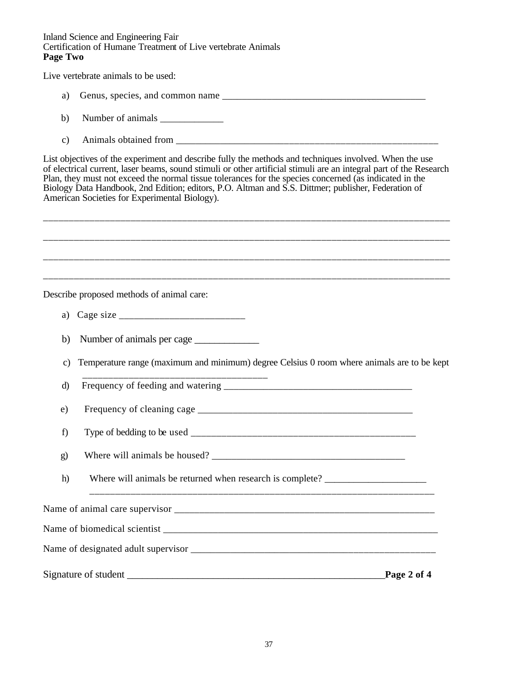#### Inland Science and Engineering Fair Certification of Humane Treatment of Live vertebrate Animals **Page Two**

Live vertebrate animals to be used:

- a) Genus, species, and common name
- b) Number of animals  $\frac{1}{\sqrt{1-\frac{1}{2}}}\left| \frac{1}{\sqrt{1-\frac{1}{2}}}\right|$
- c) Animals obtained from

List objectives of the experiment and describe fully the methods and techniques involved. When the use of electrical current, laser beams, sound stimuli or other artificial stimuli are an integral part of the Research Plan, they must not exceed the normal tissue tolerances for the species concerned (as indicated in the Biology Data Handbook, 2nd Edition; editors, P.O. Altman and S.S. Dittmer; publisher, Federation of American Societies for Experimental Biology).

\_\_\_\_\_\_\_\_\_\_\_\_\_\_\_\_\_\_\_\_\_\_\_\_\_\_\_\_\_\_\_\_\_\_\_\_\_\_\_\_\_\_\_\_\_\_\_\_\_\_\_\_\_\_\_\_\_\_\_\_\_\_\_\_\_\_\_\_\_\_\_\_\_\_\_\_\_\_\_

\_\_\_\_\_\_\_\_\_\_\_\_\_\_\_\_\_\_\_\_\_\_\_\_\_\_\_\_\_\_\_\_\_\_\_\_\_\_\_\_\_\_\_\_\_\_\_\_\_\_\_\_\_\_\_\_\_\_\_\_\_\_\_\_\_\_\_\_\_\_\_\_\_\_\_\_\_\_\_ \_\_\_\_\_\_\_\_\_\_\_\_\_\_\_\_\_\_\_\_\_\_\_\_\_\_\_\_\_\_\_\_\_\_\_\_\_\_\_\_\_\_\_\_\_\_\_\_\_\_\_\_\_\_\_\_\_\_\_\_\_\_\_\_\_\_\_\_\_\_\_\_\_\_\_\_\_\_\_ \_\_\_\_\_\_\_\_\_\_\_\_\_\_\_\_\_\_\_\_\_\_\_\_\_\_\_\_\_\_\_\_\_\_\_\_\_\_\_\_\_\_\_\_\_\_\_\_\_\_\_\_\_\_\_\_\_\_\_\_\_\_\_\_\_\_\_\_\_\_\_\_\_\_\_\_\_\_\_ Describe proposed methods of animal care: a) Cage size \_\_\_\_\_\_\_\_\_\_\_\_\_\_\_\_\_\_\_\_\_\_\_\_\_ b) Number of animals per cage \_\_\_\_\_\_\_\_\_\_\_\_\_ c) Temperature range (maximum and minimum) degree Celsius 0 room where animals are to be kept \_\_\_\_\_\_\_\_\_\_\_\_\_\_\_\_\_\_\_\_\_\_\_\_\_\_\_\_\_\_\_\_\_\_\_\_ d) Frequency of feeding and watering \_\_\_\_\_\_\_\_\_\_\_\_\_\_\_\_\_\_\_\_\_\_\_\_\_\_\_\_\_\_\_\_\_\_\_\_\_\_ e) Frequency of cleaning cage \_\_\_\_\_\_\_\_\_\_\_\_\_\_\_\_\_\_\_\_\_\_\_\_\_\_\_\_\_\_\_\_\_\_\_\_\_\_\_\_\_\_\_ f) Type of bedding to be used g) Where will animals be housed? \_\_\_\_\_\_\_\_\_\_\_\_\_\_\_\_\_\_\_\_\_\_\_\_\_\_\_\_\_\_\_\_\_\_\_\_\_\_\_ h) Where will animals be returned when research is complete? \_\_\_\_\_\_\_\_\_\_\_\_\_\_\_\_\_\_\_\_ \_\_\_\_\_\_\_\_\_\_\_\_\_\_\_\_\_\_\_\_\_\_\_\_\_\_\_\_\_\_\_\_\_\_\_\_\_\_\_\_\_\_\_\_\_\_\_\_\_\_\_\_\_\_\_\_\_\_\_\_\_\_\_\_\_\_\_ Name of animal care supervisor \_\_\_\_\_\_\_\_\_\_\_\_\_\_\_\_\_\_\_\_\_\_\_\_\_\_\_\_\_\_\_\_\_\_\_\_\_\_\_\_\_\_\_\_\_\_\_\_\_\_\_\_ Name of biomedical scientist \_\_\_\_\_\_\_\_\_\_\_\_\_\_\_\_\_\_\_\_\_\_\_\_\_\_\_\_\_\_\_\_\_\_\_\_\_\_\_\_\_\_\_\_\_\_\_\_\_\_\_\_\_\_\_ Name of designated adult supervisor  $\blacksquare$ Signature of student \_\_\_\_\_\_\_\_\_\_\_\_\_\_\_\_\_\_\_\_\_\_\_\_\_\_\_\_\_\_\_\_\_\_\_\_\_\_\_\_\_\_\_\_\_\_\_\_\_\_\_**Page 2 of 4**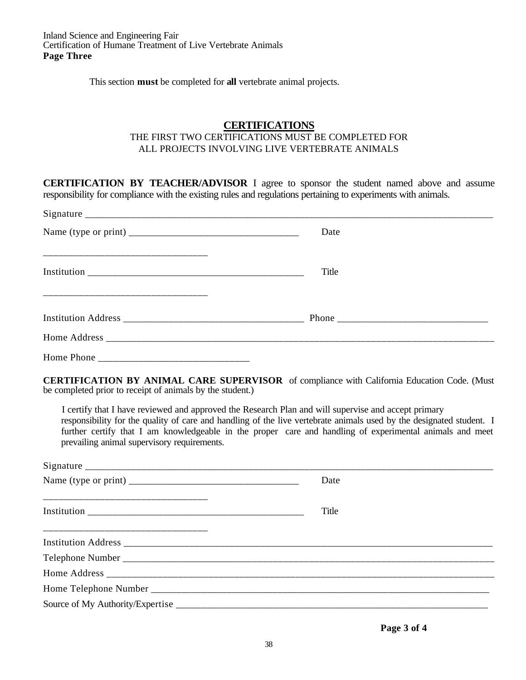This section **must** be completed for **all** vertebrate animal projects.

#### **CERTIFICATIONS**

#### THE FIRST TWO CERTIFICATIONS MUST BE COMPLETED FOR ALL PROJECTS INVOLVING LIVE VERTEBRATE ANIMALS

**CERTIFICATION BY TEACHER/ADVISOR** I agree to sponsor the student named above and assume responsibility for compliance with the existing rules and regulations pertaining to experiments with animals.

|            | Date  |  |
|------------|-------|--|
|            | Title |  |
|            |       |  |
|            |       |  |
| Home Phone |       |  |

**CERTIFICATION BY ANIMAL CARE SUPERVISOR** of compliance with California Education Code. (Must be completed prior to receipt of animals by the student.)

I certify that I have reviewed and approved the Research Plan and will supervise and accept primary responsibility for the quality of care and handling of the live vertebrate animals used by the designated student. I further certify that I am knowledgeable in the proper care and handling of experimental animals and meet prevailing animal supervisory requirements.

| Date  |
|-------|
| Title |
|       |
|       |
|       |
|       |
|       |

**Page 3 of 4**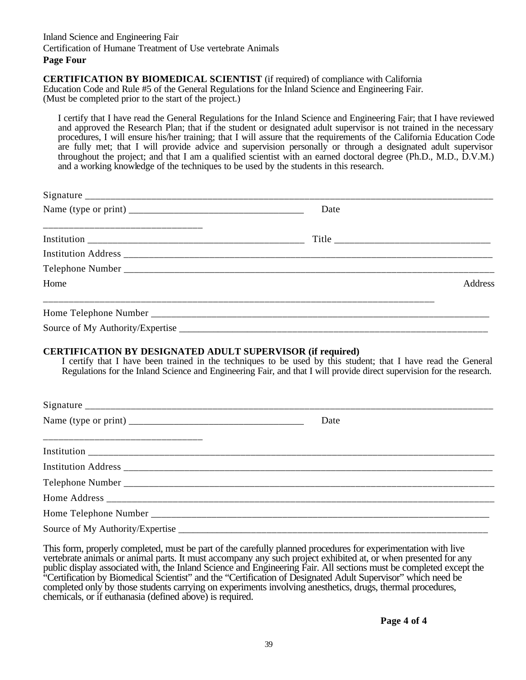#### **CERTIFICATION BY BIOMEDICAL SCIENTIST** (if required) of compliance with California Education Code and Rule #5 of the General Regulations for the Inland Science and Engineering Fair. (Must be completed prior to the start of the project.)

I certify that I have read the General Regulations for the Inland Science and Engineering Fair; that I have reviewed and approved the Research Plan; that if the student or designated adult supervisor is not trained in the necessary procedures, I will ensure his/her training; that I will assure that the requirements of the California Education Code are fully met; that I will provide advice and supervision personally or through a designated adult supervisor throughout the project; and that I am a qualified scientist with an earned doctoral degree (Ph.D., M.D., D.V.M.) and a working knowledge of the techniques to be used by the students in this research.

|                                  | Date                                                                                                                  |
|----------------------------------|-----------------------------------------------------------------------------------------------------------------------|
|                                  |                                                                                                                       |
|                                  |                                                                                                                       |
|                                  |                                                                                                                       |
| Home                             | Address                                                                                                               |
|                                  |                                                                                                                       |
|                                  |                                                                                                                       |
|                                  | Regulations for the Inland Science and Engineering Fair, and that I will provide direct supervision for the research. |
|                                  | Date                                                                                                                  |
|                                  |                                                                                                                       |
|                                  |                                                                                                                       |
|                                  |                                                                                                                       |
|                                  |                                                                                                                       |
|                                  |                                                                                                                       |
| Source of My Authority/Expertise |                                                                                                                       |

This form, properly completed, must be part of the carefully planned procedures for experimentation with live vertebrate animals or animal parts. It must accompany any such project exhibited at, or when presented for any public display associated with, the Inland Science and Engineering Fair. All sections must be completed except the "Certification by Biomedical Scientist" and the "Certification of Designated Adult Supervisor" which need be completed only by those students carrying on experiments involving anesthetics, drugs, thermal procedures, chemicals, or if euthanasia (defined above) is required.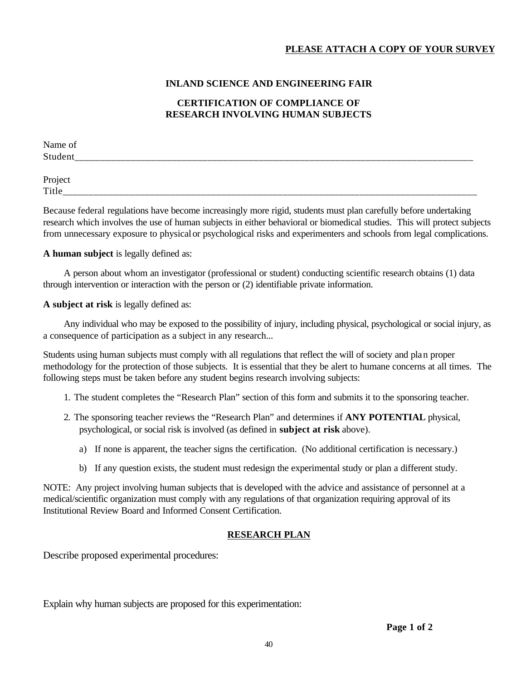#### **INLAND SCIENCE AND ENGINEERING FAIR**

#### **CERTIFICATION OF COMPLIANCE OF RESEARCH INVOLVING HUMAN SUBJECTS**

Name of Student

Project Title\_\_\_\_\_\_\_\_\_\_\_\_\_\_\_\_\_\_\_\_\_\_\_\_\_\_\_\_\_\_\_\_\_\_\_\_\_\_\_\_\_\_\_\_\_\_\_\_\_\_\_\_\_\_\_\_\_\_\_\_\_\_\_\_\_\_\_\_\_\_\_\_\_\_\_\_\_\_\_\_\_

Because federal regulations have become increasingly more rigid, students must plan carefully before undertaking research which involves the use of human subjects in either behavioral or biomedical studies. This will protect subjects from unnecessary exposure to physical or psychological risks and experimenters and schools from legal complications.

**A human subject** is legally defined as:

 A person about whom an investigator (professional or student) conducting scientific research obtains (1) data through intervention or interaction with the person or (2) identifiable private information.

**A subject at risk** is legally defined as:

 Any individual who may be exposed to the possibility of injury, including physical, psychological or social injury, as a consequence of participation as a subject in any research...

Students using human subjects must comply with all regulations that reflect the will of society and plan proper methodology for the protection of those subjects. It is essential that they be alert to humane concerns at all times. The following steps must be taken before any student begins research involving subjects:

- 1. The student completes the "Research Plan" section of this form and submits it to the sponsoring teacher.
- 2. The sponsoring teacher reviews the "Research Plan" and determines if **ANY POTENTIAL** physical, psychological, or social risk is involved (as defined in **subject at risk** above).
	- a) If none is apparent, the teacher signs the certification. (No additional certification is necessary.)
	- b) If any question exists, the student must redesign the experimental study or plan a different study.

NOTE: Any project involving human subjects that is developed with the advice and assistance of personnel at a medical/scientific organization must comply with any regulations of that organization requiring approval of its Institutional Review Board and Informed Consent Certification.

#### **RESEARCH PLAN**

Describe proposed experimental procedures:

Explain why human subjects are proposed for this experimentation: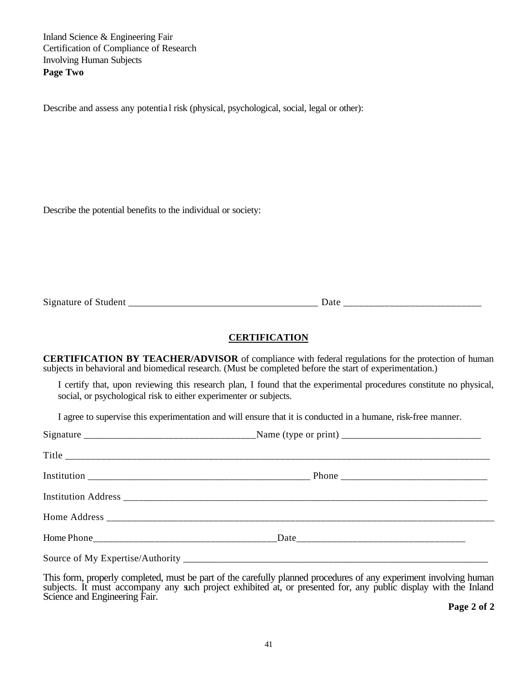Inland Science & Engineering Fair Certification of Compliance of Research Involving Human Subjects **Page Two**

Describe and assess any potentia l risk (physical, psychological, social, legal or other):

Describe the potential benefits to the individual or society:

Signature of Student \_\_\_\_\_\_\_\_\_\_\_\_\_\_\_\_\_\_\_\_\_\_\_\_\_\_\_\_\_\_\_\_\_\_\_\_\_\_ Date \_\_\_\_\_\_\_\_\_\_\_\_\_\_\_\_\_\_\_\_\_\_\_\_\_\_\_

#### **CERTIFICATION**

**CERTIFICATION BY TEACHER/ADVISOR** of compliance with federal regulations for the protection of human subjects in behavioral and biomedical research. (Must be completed before the start of experimentation.)

I certify that, upon reviewing this research plan, I found that the experimental procedures constitute no physical, social, or psychological risk to either experimenter or subjects.

I agree to supervise this experimentation and will ensure that it is conducted in a humane, risk-free manner.

This form, properly completed, must be part of the carefully planned procedures of any experiment involving human subjects. It must accompany any such project exhibited at, or presented for, any public display with the Inland Science and Engineering Fair.

**Page 2 of 2**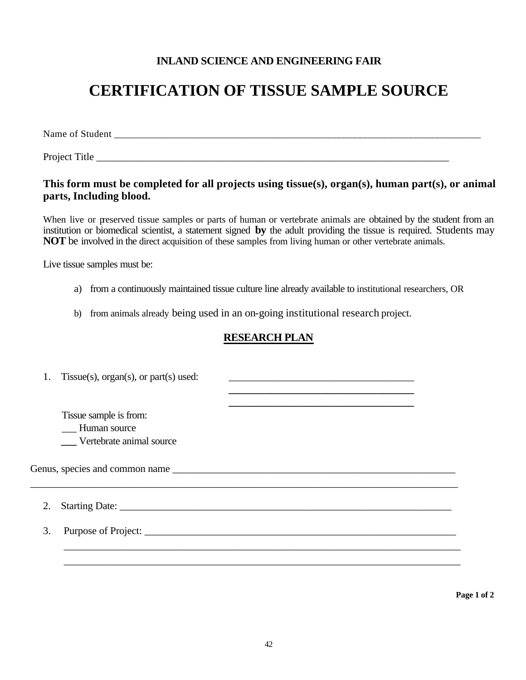# **INLAND SCIENCE AND ENGINEERING FAIR**

# **CERTIFICATION OF TISSUE SAMPLE SOURCE**

Name of Student \_\_\_\_\_\_\_\_\_\_\_\_\_\_\_\_\_\_\_\_\_\_\_\_\_\_\_\_\_\_\_\_\_\_\_\_\_\_\_\_\_\_\_\_\_\_\_\_\_\_\_\_\_\_\_\_\_\_\_\_\_\_\_\_\_\_\_\_\_\_\_\_

Project Title

# **This form must be completed for all projects using tissue(s), organ(s), human part(s), or animal parts, Including blood.**

When live or preserved tissue samples or parts of human or vertebrate animals are obtained by the student from an institution or biomedical scientist, a statement signed **by** the adult providing the tissue is required. Students may **NOT** be involved in the direct acquisition of these samples from living human or other vertebrate animals.

Live tissue samples must be:

- a) from a continuously maintained tissue culture line already available to institutional researchers, OR
- b) from animals already being used in an on-going institutional research project.

# **RESEARCH PLAN**

|    | 1. Tissue(s), $organ(s)$ , or $part(s)$ used: |  |
|----|-----------------------------------------------|--|
|    | Tissue sample is from:                        |  |
|    | - Human source                                |  |
|    | Vertebrate animal source                      |  |
|    | Genus, species and common name                |  |
| 2. |                                               |  |
| 3. |                                               |  |
|    |                                               |  |
|    |                                               |  |